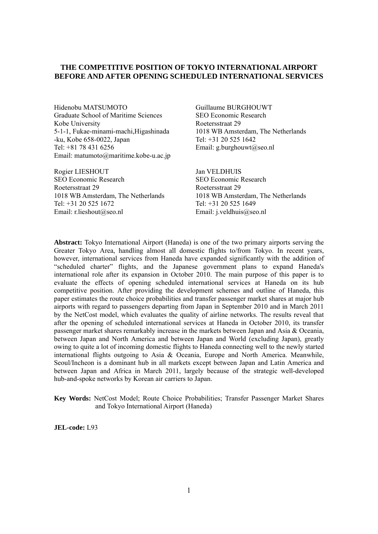#### **THE COMPETITIVE POSITION OF TOKYO INTERNATIONAL AIRPORT BEFORE AND AFTER OPENING SCHEDULED INTERNATIONAL SERVICES**

Hidenobu MATSUMOTO Guillaume BURGHOUWT Graduate School of Maritime Sciences SEO Economic Research Kobe University **Roetersstraat 29** 5-1-1, Fukae-minami-machi,Higashinada 1018 WB Amsterdam, The Netherlands -ku, Kobe 658-0022, Japan Tel: +31 20 525 1642 Tel: +81 78 431 6256 Email: g.burghouwt@seo.nl Email: matumoto@maritime.kobe-u.ac.jp

Rogier LIESHOUT Jan VELDHUIS SEO Economic Research SEO Economic Research Roetersstraat 29 Roetersstraat 29 1018 WB Amsterdam, The Netherlands 1018 WB Amsterdam, The Netherlands Tel: +31 20 525 1672 Tel: +31 20 525 1649 Email: r.lieshout@seo.nl Email: j.veldhuis@seo.nl

**Abstract:** Tokyo International Airport (Haneda) is one of the two primary airports serving the Greater Tokyo Area, handling almost all domestic flights to/from Tokyo. In recent years, however, international services from Haneda have expanded significantly with the addition of "scheduled charter" flights, and the Japanese government plans to expand Haneda's international role after its expansion in October 2010. The main purpose of this paper is to evaluate the effects of opening scheduled international services at Haneda on its hub competitive position. After providing the development schemes and outline of Haneda, this paper estimates the route choice probabilities and transfer passenger market shares at major hub airports with regard to passengers departing from Japan in September 2010 and in March 2011 by the NetCost model, which evaluates the quality of airline networks. The results reveal that after the opening of scheduled international services at Haneda in October 2010, its transfer passenger market shares remarkably increase in the markets between Japan and Asia & Oceania, between Japan and North America and between Japan and World (excluding Japan), greatly owing to quite a lot of incoming domestic flights to Haneda connecting well to the newly started international flights outgoing to Asia & Oceania, Europe and North America. Meanwhile, Seoul/Incheon is a dominant hub in all markets except between Japan and Latin America and between Japan and Africa in March 2011, largely because of the strategic well-developed hub-and-spoke networks by Korean air carriers to Japan.

**Key Words:** NetCost Model; Route Choice Probabilities; Transfer Passenger Market Shares and Tokyo International Airport (Haneda)

**JEL-code:** L93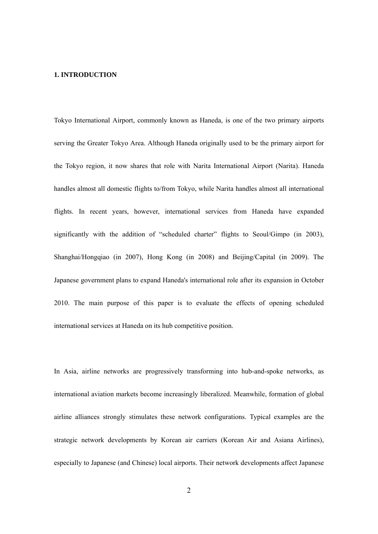#### **1. INTRODUCTION**

Tokyo International Airport, commonly known as Haneda, is one of the two primary airports serving the Greater Tokyo Area. Although Haneda originally used to be the primary airport for the Tokyo region, it now shares that role with Narita International Airport (Narita). Haneda handles almost all domestic flights to/from Tokyo, while Narita handles almost all international flights. In recent years, however, international services from Haneda have expanded significantly with the addition of "scheduled charter" flights to Seoul/Gimpo (in 2003), Shanghai/Hongqiao (in 2007), Hong Kong (in 2008) and Beijing/Capital (in 2009). The Japanese government plans to expand Haneda's international role after its expansion in October 2010. The main purpose of this paper is to evaluate the effects of opening scheduled international services at Haneda on its hub competitive position.

In Asia, airline networks are progressively transforming into hub-and-spoke networks, as international aviation markets become increasingly liberalized. Meanwhile, formation of global airline alliances strongly stimulates these network configurations. Typical examples are the strategic network developments by Korean air carriers (Korean Air and Asiana Airlines), especially to Japanese (and Chinese) local airports. Their network developments affect Japanese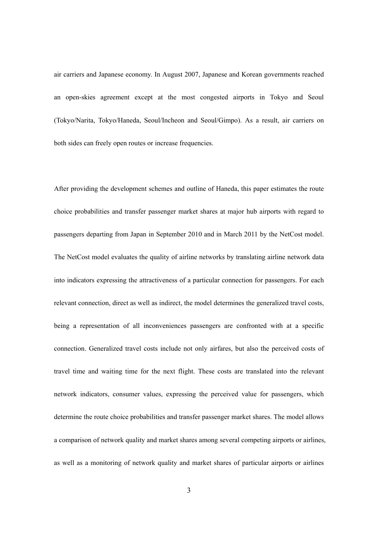air carriers and Japanese economy. In August 2007, Japanese and Korean governments reached an open-skies agreement except at the most congested airports in Tokyo and Seoul (Tokyo/Narita, Tokyo/Haneda, Seoul/Incheon and Seoul/Gimpo). As a result, air carriers on both sides can freely open routes or increase frequencies.

After providing the development schemes and outline of Haneda, this paper estimates the route choice probabilities and transfer passenger market shares at major hub airports with regard to passengers departing from Japan in September 2010 and in March 2011 by the NetCost model. The NetCost model evaluates the quality of airline networks by translating airline network data into indicators expressing the attractiveness of a particular connection for passengers. For each relevant connection, direct as well as indirect, the model determines the generalized travel costs, being a representation of all inconveniences passengers are confronted with at a specific connection. Generalized travel costs include not only airfares, but also the perceived costs of travel time and waiting time for the next flight. These costs are translated into the relevant network indicators, consumer values, expressing the perceived value for passengers, which determine the route choice probabilities and transfer passenger market shares. The model allows a comparison of network quality and market shares among several competing airports or airlines, as well as a monitoring of network quality and market shares of particular airports or airlines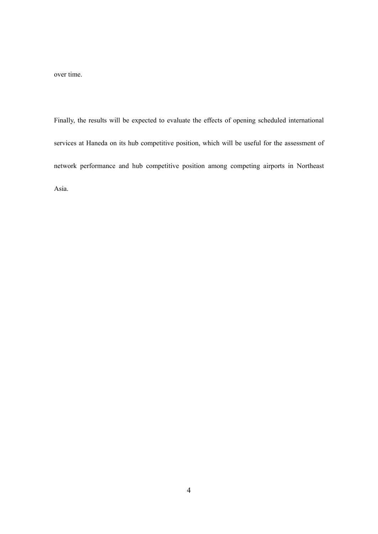over time.

Finally, the results will be expected to evaluate the effects of opening scheduled international services at Haneda on its hub competitive position, which will be useful for the assessment of network performance and hub competitive position among competing airports in Northeast Asia.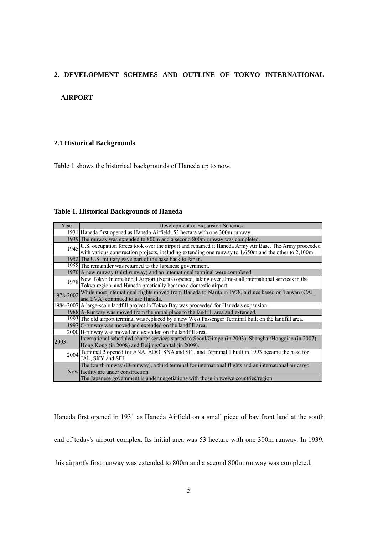#### **2. DEVELOPMENT SCHEMES AND OUTLINE OF TOKYO INTERNATIONAL**

#### **AIRPORT**

#### **2.1 Historical Backgrounds**

Table 1 shows the historical backgrounds of Haneda up to now.

#### **Table 1. Historical Backgrounds of Haneda**

| Year  | Development or Expansion Schemes                                                                              |
|-------|---------------------------------------------------------------------------------------------------------------|
|       | 1931 Haneda first opened as Haneda Airfield, 53 hectare with one 300m runway.                                 |
|       | 1939 The runway was extended to 800m and a second 800m runway was completed.                                  |
|       | 1945 U.S. occupation forces took over the airport and renamed it Haneda Army Air Base. The Army proceeded     |
|       | with various construction projects, including extending one runway to $1,650m$ and the other to $2,100m$ .    |
|       | 1952 The U.S. military gave part of the base back to Japan.                                                   |
|       | 1958 The remainder was returned to the Japanese government.                                                   |
|       | 1970 A new runway (third runway) and an international terminal were completed.                                |
|       | 1978 New Tokyo International Airport (Narita) opened, taking over almost all international services in the    |
|       | Tokyo region, and Haneda practically became a domestic airport.                                               |
|       | 1978-2002 While most international flights moved from Haneda to Narita in 1978, airlines based on Taiwan (CAL |
|       | and EVA) continued to use Haneda.                                                                             |
|       | 1984-2007 A large-scale landfill project in Tokyo Bay was proceeded for Haneda's expansion.                   |
|       | 1988 A-Runway was moved from the initial place to the landfill area and extended.                             |
|       | 1993 The old airport terminal was replaced by a new West Passenger Terminal built on the landfill area.       |
|       | 1997 C-runway was moved and extended on the landfill area.                                                    |
|       | 2000 B-runway was moved and extended on the landfill area.                                                    |
| 2003- | International scheduled charter services started to Seoul/Gimpo (in 2003), Shanghai/Hongqiao (in 2007),       |
|       | Hong Kong (in 2008) and Beijing/Capital (in 2009).                                                            |
|       | 2004 Terminal 2 opened for ANA, ADO, SNA and SFJ, and Terminal 1 built in 1993 became the base for            |
|       | JAL, SKY and SFJ.                                                                                             |
|       | The fourth runway (D-runway), a third terminal for international flights and an international air cargo       |
|       | Now facility are under construction.                                                                          |
|       | The Japanese government is under negotiations with those in twelve countries/region.                          |

Haneda first opened in 1931 as Haneda Airfield on a small piece of bay front land at the south

end of today's airport complex. Its initial area was 53 hectare with one 300m runway. In 1939,

this airport's first runway was extended to 800m and a second 800m runway was completed.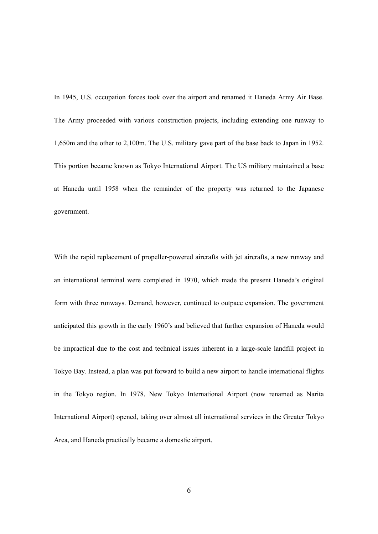In 1945, U.S. occupation forces took over the airport and renamed it Haneda Army Air Base. The Army proceeded with various construction projects, including extending one runway to 1,650m and the other to 2,100m. The U.S. military gave part of the base back to Japan in 1952. This portion became known as Tokyo International Airport. The US military maintained a base at Haneda until 1958 when the remainder of the property was returned to the Japanese government.

With the rapid replacement of propeller-powered aircrafts with jet aircrafts, a new runway and an international terminal were completed in 1970, which made the present Haneda's original form with three runways. Demand, however, continued to outpace expansion. The government anticipated this growth in the early 1960's and believed that further expansion of Haneda would be impractical due to the cost and technical issues inherent in a large-scale landfill project in Tokyo Bay. Instead, a plan was put forward to build a new airport to handle international flights in the Tokyo region. In 1978, New Tokyo International Airport (now renamed as Narita International Airport) opened, taking over almost all international services in the Greater Tokyo Area, and Haneda practically became a domestic airport.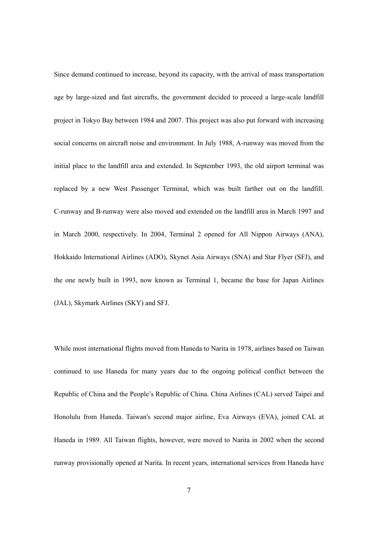Since demand continued to increase, beyond its capacity, with the arrival of mass transportation age by large-sized and fast aircrafts, the government decided to proceed a large-scale landfill project in Tokyo Bay between 1984 and 2007. This project was also put forward with increasing social concerns on aircraft noise and environment. In July 1988, A-runway was moved from the initial place to the landfill area and extended. In September 1993, the old airport terminal was replaced by a new West Passenger Terminal, which was built farther out on the landfill. C-runway and B-runway were also moved and extended on the landfill area in March 1997 and in March 2000, respectively. In 2004, Terminal 2 opened for All Nippon Airways (ANA), Hokkaido International Airlines (ADO), Skynet Asia Airways (SNA) and Star Flyer (SFJ), and the one newly built in 1993, now known as Terminal 1, became the base for Japan Airlines (JAL), Skymark Airlines (SKY) and SFJ.

While most international flights moved from Haneda to Narita in 1978, airlines based on Taiwan continued to use Haneda for many years due to the ongoing political conflict between the Republic of China and the People's Republic of China. China Airlines (CAL) served Taipei and Honolulu from Haneda. Taiwan's second major airline, Eva Airways (EVA), joined CAL at Haneda in 1989. All Taiwan flights, however, were moved to Narita in 2002 when the second runway provisionally opened at Narita. In recent years, international services from Haneda have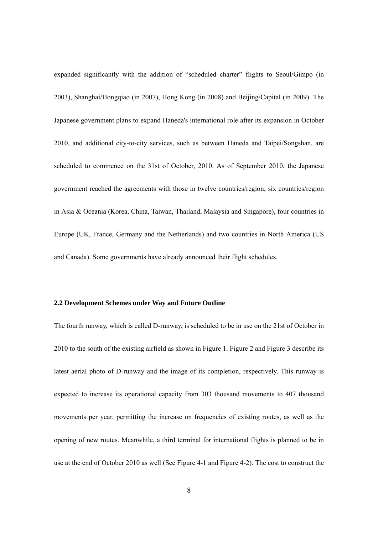expanded significantly with the addition of "scheduled charter" flights to Seoul/Gimpo (in 2003), Shanghai/Hongqiao (in 2007), Hong Kong (in 2008) and Beijing/Capital (in 2009). The Japanese government plans to expand Haneda's international role after its expansion in October 2010, and additional city-to-city services, such as between Haneda and Taipei/Songshan, are scheduled to commence on the 31st of October, 2010. As of September 2010, the Japanese government reached the agreements with those in twelve countries/region; six countries/region in Asia & Oceania (Korea, China, Taiwan, Thailand, Malaysia and Singapore), four countries in Europe (UK, France, Germany and the Netherlands) and two countries in North America (US and Canada). Some governments have already announced their flight schedules.

#### **2.2 Development Schemes under Way and Future Outline**

The fourth runway, which is called D-runway, is scheduled to be in use on the 21st of October in 2010 to the south of the existing airfield as shown in Figure 1. Figure 2 and Figure 3 describe its latest aerial photo of D-runway and the image of its completion, respectively. This runway is expected to increase its operational capacity from 303 thousand movements to 407 thousand movements per year, permitting the increase on frequencies of existing routes, as well as the opening of new routes. Meanwhile, a third terminal for international flights is planned to be in use at the end of October 2010 as well (See Figure 4-1 and Figure 4-2). The cost to construct the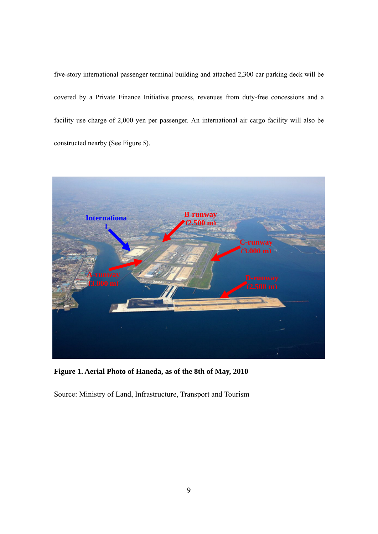five-story international passenger terminal building and attached 2,300 car parking deck will be covered by a Private Finance Initiative process, revenues from duty-free concessions and a facility use charge of 2,000 yen per passenger. An international air cargo facility will also be constructed nearby (See Figure 5).



**Figure 1. Aerial Photo of Haneda, as of the 8th of May, 2010** 

Source: Ministry of Land, Infrastructure, Transport and Tourism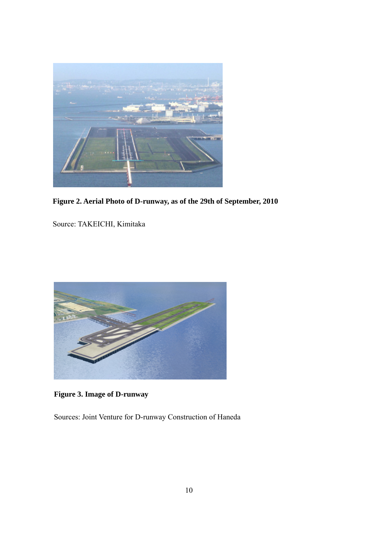

**Figure 2. Aerial Photo of D-runway, as of the 29th of September, 2010** 

Source: TAKEICHI, Kimitaka



**Figure 3. Image of D-runway** 

Sources: Joint Venture for D-runway Construction of Haneda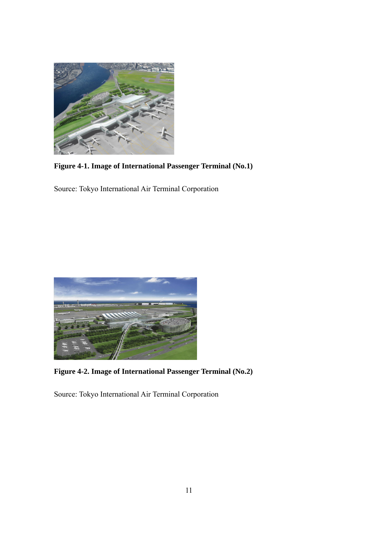

**Figure 4-1. Image of International Passenger Terminal (No.1)** 

Source: Tokyo International Air Terminal Corporation



**Figure 4-2. Image of International Passenger Terminal (No.2)** 

Source: Tokyo International Air Terminal Corporation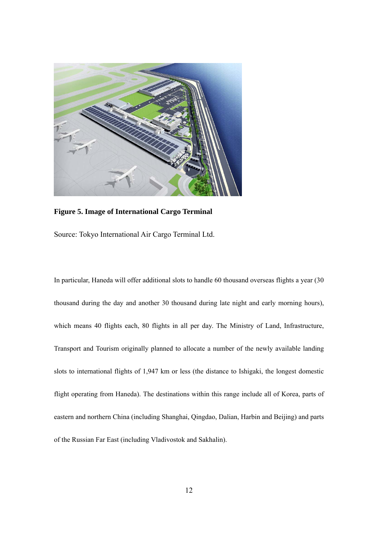

**Figure 5. Image of International Cargo Terminal** 

Source: Tokyo International Air Cargo Terminal Ltd.

In particular, Haneda will offer additional slots to handle 60 thousand overseas flights a year (30 thousand during the day and another 30 thousand during late night and early morning hours), which means 40 flights each, 80 flights in all per day. The Ministry of Land, Infrastructure, Transport and Tourism originally planned to allocate a number of the newly available landing slots to international flights of 1,947 km or less (the distance to Ishigaki, the longest domestic flight operating from Haneda). The destinations within this range include all of Korea, parts of eastern and northern China (including Shanghai, Qingdao, Dalian, Harbin and Beijing) and parts of the Russian Far East (including Vladivostok and Sakhalin).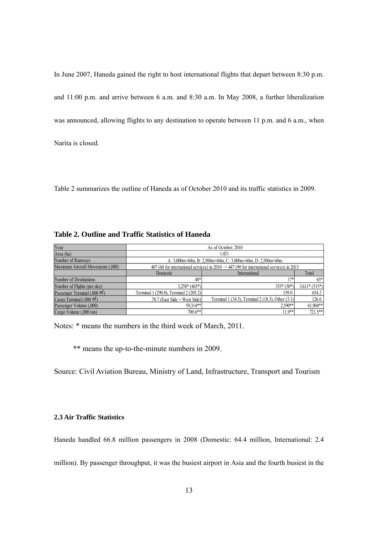In June 2007, Haneda gained the right to host international flights that depart between 8:30 p.m. and 11:00 p.m. and arrive between 6 a.m. and 8:30 a.m. In May 2008, a further liberalization was announced, allowing flights to any destination to operate between 11 p.m. and 6 a.m., when Narita is closed.

Table 2 summarizes the outline of Haneda as of October 2010 and its traffic statistics in 2009.

**Table 2. Outline and Traffic Statistics of Haneda** 

| Year                                      |                                        | As of October, 2010                                                                                   |                |  |  |  |  |  |
|-------------------------------------------|----------------------------------------|-------------------------------------------------------------------------------------------------------|----------------|--|--|--|--|--|
| Area (ha)                                 |                                        | 1.421                                                                                                 |                |  |  |  |  |  |
| Number of Runways                         |                                        | A: 3,000m×60m, B: 2,500m×60m, C: 3,000m×60m, D: 2,500m×60m                                            |                |  |  |  |  |  |
| Maximum Aircraft Movements (,000)         |                                        | 407 (60 for international services) in 2010 $\rightarrow$ 447 (90 for international services) in 2013 |                |  |  |  |  |  |
|                                           | Domestic                               | International                                                                                         | Total          |  |  |  |  |  |
| Number of Destinations                    | $48*$                                  | 17*                                                                                                   | $65*$          |  |  |  |  |  |
| Number of Flights (per day)               | $3.258*(465*)$                         | $353*(50*)$                                                                                           | $3,611*(515*)$ |  |  |  |  |  |
| Passenger Terminal (.000 m <sup>2</sup> ) | Terminal 1 (290.0), Terminal 2 (205.2) | 159.0                                                                                                 | 654.2          |  |  |  |  |  |
| Cargo Terminal (,000 m <sup>2</sup> )     | 70.7 (East Side + West Side)           | Terminal 1 (34.5), Terminal 2 (18.3), Other (3.1)                                                     | 126.6          |  |  |  |  |  |
| Passenger Volume (,000)                   | 59.314**                               | $2.590**$                                                                                             | 61,904**       |  |  |  |  |  |
| Cargo Volume (,000 ton)                   | $709.6**$                              | $11.9**$                                                                                              | 721.5**        |  |  |  |  |  |

Notes: \* means the numbers in the third week of March, 2011.

\*\* means the up-to-the-minute numbers in 2009.

Source: Civil Aviation Bureau, Ministry of Land, Infrastructure, Transport and Tourism

#### **2.3 Air Traffic Statistics**

Haneda handled 66.8 million passengers in 2008 (Domestic: 64.4 million, International: 2.4

million). By passenger throughput, it was the busiest airport in Asia and the fourth busiest in the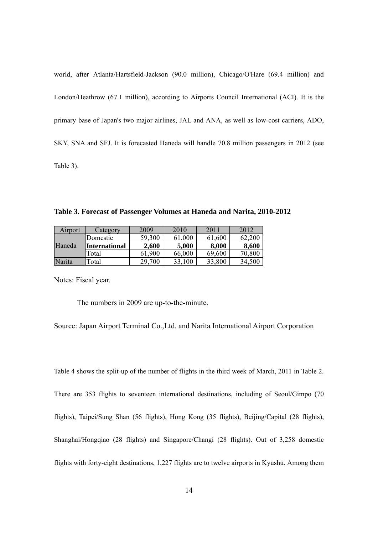world, after Atlanta/Hartsfield-Jackson (90.0 million), Chicago/O'Hare (69.4 million) and London/Heathrow (67.1 million), according to Airports Council International (ACI). It is the primary base of Japan's two major airlines, JAL and ANA, as well as low-cost carriers, ADO, SKY, SNA and SFJ. It is forecasted Haneda will handle 70.8 million passengers in 2012 (see Table 3).

**Table 3. Forecast of Passenger Volumes at Haneda and Narita, 2010-2012** 

| Airport | Category             | 2009   | 2010       | 2011   | 2012       |
|---------|----------------------|--------|------------|--------|------------|
|         | Domestic             | 59,300 | 61,000     | 61,600 | <b>200</b> |
| Haneda  | <b>International</b> | 2,600  | 5,000      | 8,000  | 8,600      |
|         | Total                | 61,900 | 66,000     | 69,600 | 70,800     |
| Narita  | Total                | 29,700 | 100<br>33. | 33,800 | 34,500     |

Notes: Fiscal year.

The numbers in 2009 are up-to-the-minute.

Source: Japan Airport Terminal Co.,Ltd. and Narita International Airport Corporation

Table 4 shows the split-up of the number of flights in the third week of March, 2011 in Table 2. There are 353 flights to seventeen international destinations, including of Seoul/Gimpo (70 flights), Taipei/Sung Shan (56 flights), Hong Kong (35 flights), Beijing/Capital (28 flights), Shanghai/Hongqiao (28 flights) and Singapore/Changi (28 flights). Out of 3,258 domestic flights with forty-eight destinations, 1,227 flights are to twelve airports in Kyūshū. Among them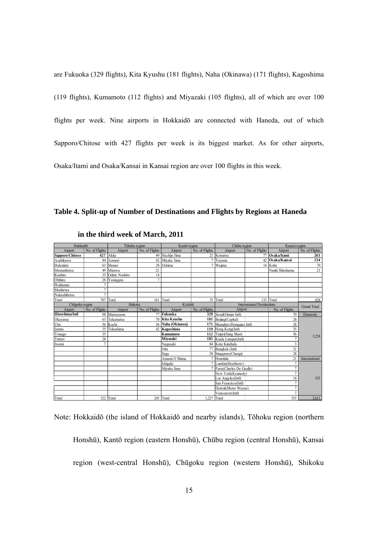are Fukuoka (329 flights), Kita Kyushu (181 flights), Naha (Okinawa) (171 flights), Kagoshima (119 flights), Kumamoto (112 flights) and Miyazaki (105 flights), all of which are over 100 flights per week. Nine airports in Hokkaidō are connected with Haneda, out of which Sapporo/Chitose with 427 flights per week is its biggest market. As for other airports, Osaka/Itami and Osaka/Kansai in Kansai region are over 100 flights in this week.

#### **Table 4. Split-up of Number of Destinations and Flights by Regions at Haneda**

| Hokkaidō        |                | Tōhoku region |                | Kantō region      |                | Chūbu region             |                                   | Kansai region   |                    |
|-----------------|----------------|---------------|----------------|-------------------|----------------|--------------------------|-----------------------------------|-----------------|--------------------|
| Airport         | No. of Flights | Airport       | No. of Flights | Airport           | No. of Flights | Airport                  | No. of Flights                    | Airport         | No. of Flights     |
| Sapporo/Chitose | 427            | Akita         | 49             | Hachiio Jima      | 21             | Komatsu                  |                                   | Osaka/Itami     | 203                |
| Asahikawa       | 84             | Aomori        |                | 42 Miyake Jima    |                | Toyama                   |                                   | 42 Osaka/Kansai | 134                |
| Hakodate        | 63             | Shonai        |                | 28 Oshima         |                | Wajima                   |                                   | 14 Kobe         | 70                 |
| Memanbetsu      | 49             | Misawa        | 21             |                   |                |                          |                                   | Nanki Shirahama | 21                 |
| Kushiro         | 35             | Odate Noshiro | 14             |                   |                |                          |                                   |                 |                    |
| Obihiro         | 28             | Yamagata      | $\overline{7}$ |                   |                |                          |                                   |                 |                    |
| Wakkanai        | 7              |               |                |                   |                |                          |                                   |                 |                    |
| Monbetsu        | $\overline{7}$ |               |                |                   |                |                          |                                   |                 |                    |
| Nakashibetsu    | $\overline{7}$ |               |                |                   |                |                          |                                   |                 |                    |
| Total           | 707            | Total         |                | 161 Total         |                | 35 Total                 |                                   | 133 Total       | 428                |
| Chūgoku region  |                | Shikoku       |                | Kyūshū            |                |                          | <b>International Destinations</b> |                 | <b>Grand Total</b> |
| Airport         | No. of Flights | Airport       | No. of Flights | Airport           | No. of Flights | Airport                  |                                   | No. of Flights  |                    |
| Hiroshima/Intl  | 98             | Matsuvama     |                | 77 Fukuoka        | 329            | Seoul(Gimpo Intl)        |                                   | 70              | Domestic           |
| Okayama         | 63             | Takamatsu     |                | 70 Kita Kyushu    | 181            | Beijing(Capital)         |                                   | 28              |                    |
| Ube             | 56             | Kochi         |                | 56 Naha (Okinawa) | 171            | Shanghai (Hongqiao Intl) |                                   | 28              |                    |
| Izumo           | 35             | Tokushima     |                | 42 Kagoshima      | 119            | Hong Kong(Intl)          |                                   | 35              |                    |
| Yonago          | 35             |               |                | Kumamoto          | 112            | Taipei(Sung Shan)        |                                   | 56              | 3,258              |
| Tottori         | 28             |               |                | Miyazaki          | 105            | Kuala Lumpur(Intl)       |                                   |                 |                    |
| Iwami           | 7              |               |                | Nagasaki          | 84             | Kota Kinabalu            |                                   |                 |                    |
|                 |                |               |                | Oita              |                | 77 Bangkok (Intl)        |                                   | 21              |                    |
|                 |                |               |                | Saga              |                | 28 Singapore(Changi)     |                                   | 28              |                    |
|                 |                |               |                | Amami O Shima     | 7              | Honolulu                 |                                   | $\overline{21}$ | International      |
|                 |                |               |                | Ishigaki          |                | London(Heathrow)         |                                   |                 |                    |
|                 |                |               |                | Mivako Jima       |                | Paris(Charles De Gaulle) |                                   |                 |                    |
|                 |                |               |                |                   |                | New York(Kennedv)        |                                   |                 |                    |
|                 |                |               |                |                   |                | Los Angeles(Intl)        |                                   | 14              | 353                |
|                 |                |               |                |                   |                | San Francisco(Intl)      |                                   |                 |                    |
|                 |                |               |                |                   |                | Detroit(Metro Wayne)     |                                   | 7               |                    |
|                 |                |               |                |                   |                | Vancouver(Intl)          |                                   | 7               |                    |
| Total           | 322            | Total         |                | 245 Total         | 1 2 2 7        | Total                    |                                   | 353             | 3.611              |

 **in the third week of March, 2011** 

Note: Hokkaidō (the island of Hokkaidō and nearby islands), Tōhoku region (northern Honshū), Kantō region (eastern Honshū), Chūbu region (central Honshū), Kansai region (west-central Honshū), Chūgoku region (western Honshū), Shikoku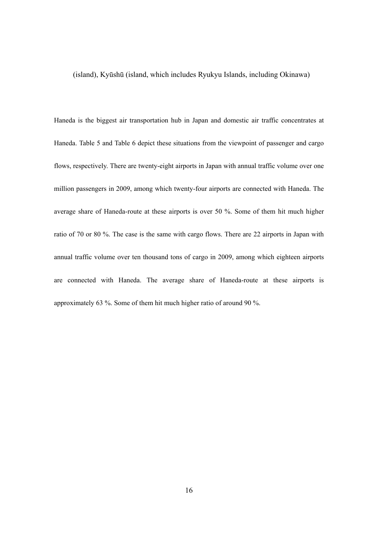#### (island), Kyūshū (island, which includes Ryukyu Islands, including Okinawa)

Haneda is the biggest air transportation hub in Japan and domestic air traffic concentrates at Haneda. Table 5 and Table 6 depict these situations from the viewpoint of passenger and cargo flows, respectively. There are twenty-eight airports in Japan with annual traffic volume over one million passengers in 2009, among which twenty-four airports are connected with Haneda. The average share of Haneda-route at these airports is over 50 %. Some of them hit much higher ratio of 70 or 80 %. The case is the same with cargo flows. There are 22 airports in Japan with annual traffic volume over ten thousand tons of cargo in 2009, among which eighteen airports are connected with Haneda. The average share of Haneda-route at these airports is approximately 63 %. Some of them hit much higher ratio of around 90 %.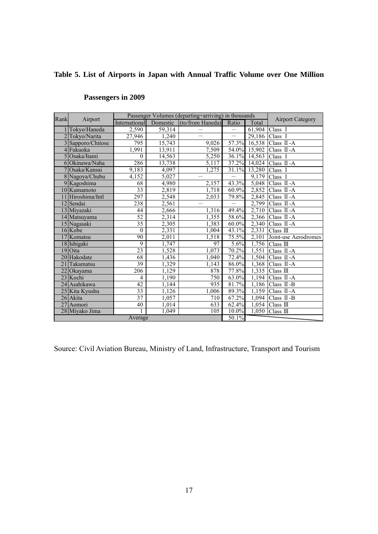# **Table 5. List of Airports in Japan with Annual Traffic Volume over One Million**

| Rank | Airport           |                      |        | Passenger Volumes (departing+arriving) in thousands |                          |                      | <b>Airport Category</b>      |
|------|-------------------|----------------------|--------|-----------------------------------------------------|--------------------------|----------------------|------------------------------|
|      |                   | <b>International</b> |        | Domestic (to/from Haneda) Ratio                     |                          | Total                |                              |
|      | Tokyo/Haneda      | 2,590                | 59,314 |                                                     |                          | 61,904               | Class I                      |
|      | 2 Tokyo/Narita    | 27,946               | 1,240  |                                                     |                          | 29,186               | Class I                      |
|      | 3 Sapporo/Chitose | 795                  | 15,743 | 9,026                                               | 57.3%                    |                      | 16,538 Class $\mathbb{I}$ -A |
|      | 4 Fukuoka         | 1,991                | 13,911 | 7,509                                               |                          | 54.0% 15,902         | Class II - A                 |
|      | 5 Osaka/Itami     | $\theta$             | 14,563 | 5,250                                               |                          | 36.1% 14,563 Class I |                              |
|      | 6 Okinawa/Naha    | 286                  | 13,738 | 5,117                                               |                          | 37.2% 14,024         | Class II-A                   |
|      | 7 Osaka/Kansai    | 9,183                | 4,097  | 1,275                                               |                          | 31.1% 13,280 Class I |                              |
|      | 8 Nagoya/Chubu    | 4,152                | 5,027  |                                                     | $\overline{\phantom{0}}$ |                      | 9,179 Class I                |
|      | 9 Kagoshima       | 68                   | 4,980  | 2,157                                               | 43.3%                    |                      | 5,048 Class $\mathbb{I}$ -A  |
|      | 10 Kumamoto       | $\overline{33}$      | 2,819  | 1,718                                               | 60.9%                    |                      | 2,852 Class $\text{II}$ -A   |
|      | 11 Hiroshima/Intl | 297                  | 2,548  | 2,033                                               | 79.8%                    | 2,845                | Class II-A                   |
|      | 12 Sendai         | 238                  | 2,561  |                                                     | $\overline{\phantom{0}}$ |                      | 2,799 Class II-A             |
|      | 13 Miyazaki       | 44                   | 2,666  | 1,316                                               | 49.4%                    |                      | 2,710 Class II-A             |
|      | 14 Matsuyama      | 52                   | 2,314  | 1,355                                               | 58.6%                    |                      | 2,366 Class $\mathbb{I}$ -A  |
|      | 15 Nagasaki       | 35                   | 2,305  | 1,383                                               | $60.0\%$                 |                      | $2,340$ Class II -A          |
|      | 16 Kobe           | $\boldsymbol{0}$     | 2,331  | 1,004                                               | 43.1%                    | 2,331                | Class $\mathbb{II}$          |
|      | 17 Komatsu        | 90                   | 2,011  | 1,518                                               | 75.5%                    |                      | 2,101 Joint-use Aerodromes   |
|      | 18 Ishigaki       | $\overline{9}$       | 1,747  | 97                                                  | 5.6%                     |                      | 1,756 Class $III$            |
|      | $19$ Oita         | 23                   | 1,528  | 1,073                                               | 70.2%                    |                      | 1,551 Class $\Pi$ -A         |
|      | 20 Hakodate       | 68                   | 1,436  | 1,040                                               | 72.4%                    |                      | $1,504$ Class II -A          |
| 21   | Takamatsu         | $\overline{39}$      | 1,329  | 1,143                                               | 86.0%                    |                      | 1,368 Class II-A             |
|      | 22 Okayama        | 206                  | 1,129  | 878                                                 | 77.8%                    | 1,335                | Class $III$                  |
|      | 23 Kochi          | 4                    | 1,190  | 750                                                 | 63.0%                    | 1,194                | Class II - A                 |
|      | 24 Asahikawa      | $\overline{42}$      | 1,144  | 935                                                 | 81.7%                    |                      | $1,186$ Class II -B          |
|      | 25 Kita Kyushu    | 33                   | 1,126  | 1,006                                               | 89.3%                    | 1,159                | Class II-A                   |
|      | 26 Akita          | $\overline{37}$      | 1,057  | 710                                                 | 67.2%                    |                      | 1,094 Class $\Pi$ -B         |
|      | 27 Aomori         | 40                   | 1,014  | 633                                                 | 62.4%                    |                      | $\overline{1,054}$ Class III |
|      | 28 Miyako Jima    |                      | 1,049  | 105                                                 | 10.0%                    | 1,050                | Class II                     |
|      |                   | Average              |        |                                                     | 50.1%                    |                      |                              |

# **Passengers in 2009**

Source: Civil Aviation Bureau, Ministry of Land, Infrastructure, Transport and Tourism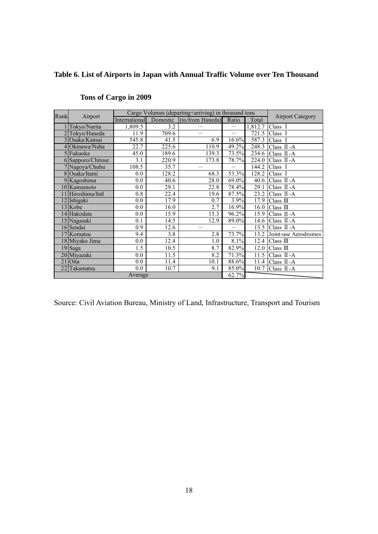# **Table 6. List of Airports in Japan with Annual Traffic Volume over Ten Thousand**

| Rank | Airport           |               |       | Cargo Volumes (departing+arriving) in thousand tons |                          |         | <b>Airport Category</b> |
|------|-------------------|---------------|-------|-----------------------------------------------------|--------------------------|---------|-------------------------|
|      |                   | International |       | Domestic (to/from Haneda) Ratio                     |                          | Total   |                         |
|      | Tokyo/Narita      | 1,809.5       | 3.2   |                                                     | $\qquad \qquad -$        | 1,812.7 | Class I                 |
|      | Tokyo/Haneda      | 11.9          | 709.6 |                                                     | $\overline{\phantom{0}}$ | 721.5   | Class I                 |
|      | 3 Osaka/Kansai    | 545.8         | 41.5  | 6.9                                                 | 16.6%                    | 587.3   | Class I                 |
|      | 4 Okinawa/Naha    | 22.7          | 225.6 | 110.9                                               | 49.2%                    | 248.3   | Class II-A              |
|      | 5 Fukuoka         | 45.0          | 189.6 | 139.3                                               | 73.5%                    | 234.6   | Class $\Pi$ -A          |
|      | 6 Sapporo/Chitose | 3.1           | 220.9 | 173.8                                               | 78.7%                    | 224.0   | Class II-A              |
|      | 7 Nagoya/Chubu    | 108.5         | 35.7  |                                                     |                          | 144.2   | Class I                 |
|      | 8 Osaka/Itami     | 0.0           | 128.2 | 68.3                                                | 53.3%                    | 128.2   | Class I                 |
|      | 9 Kagoshima       | 0.0           | 40.6  | 28.0                                                | 69.0%                    | 40.6    | Class II-A              |
|      | 10 Kumamoto       | 0.0           | 29.1  | 22.8                                                | 78.4%                    | 29.1    | Class $II-A$            |
| 11   | Hiroshima/Intl    | 0.8           | 22.4  | 19.6                                                | 87.5%                    | 23.2    | Class II-A              |
|      | 12 Ishigaki       | 0.0           | 17.9  | 0.7                                                 | 3.9%                     | 17.9    | Class $III$             |
|      | 13 Kobe           | 0.0           | 16.0  | 2.7                                                 | 16.9%                    | 16.0    | Class $III$             |
|      | 14 Hakodate       | 0.0           | 15.9  | 15.3                                                | 96.2%                    | 15.9    | Class II-A              |
|      | 15 Nagasaki       | 0.1           | 14.5  | 12.9                                                | 89.0%                    | 14.6    | Class II-A              |
|      | 16 Sendai         | 0.9           | 12.6  |                                                     | $\overline{\phantom{0}}$ | 13.5    | Class $\Pi$ -A          |
|      | 17 Komatsu        | 9.4           | 3.8   | 2.8                                                 | 73.7%                    | 13.2    | Joint-use Aerodromes    |
|      | 18 Miyako Jima    | 0.0           | 12.4  | 1.0                                                 | 8.1%                     | 12.4    | Class $III$             |
|      | 19 Saga           | 1.5           | 10.5  | 8.7                                                 | 82.9%                    | 12.0    | Class $III$             |
|      | 20 Miyazaki       | 0.0           | 11.5  | 8.2                                                 | 71.3%                    | 11.5    | Class II-A              |
| 21   | Oita              | 0.0           | 11.4  | 10.1                                                | 88.6%                    | 11.4    | Class II-A              |
| 22   | Takamatsu         | 0.0           | 10.7  | 9.1                                                 | 85.0%                    | 10.7    | Class II-A              |
|      |                   | Average       |       |                                                     | 62.7%                    |         |                         |

# **Tons of Cargo in 2009**

Source: Civil Aviation Bureau, Ministry of Land, Infrastructure, Transport and Tourism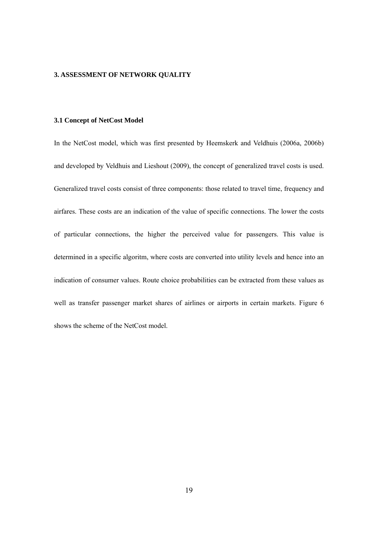#### **3. ASSESSMENT OF NETWORK QUALITY**

#### **3.1 Concept of NetCost Model**

In the NetCost model, which was first presented by Heemskerk and Veldhuis (2006a, 2006b) and developed by Veldhuis and Lieshout (2009), the concept of generalized travel costs is used. Generalized travel costs consist of three components: those related to travel time, frequency and airfares. These costs are an indication of the value of specific connections. The lower the costs of particular connections, the higher the perceived value for passengers. This value is determined in a specific algoritm, where costs are converted into utility levels and hence into an indication of consumer values. Route choice probabilities can be extracted from these values as well as transfer passenger market shares of airlines or airports in certain markets. Figure 6 shows the scheme of the NetCost model.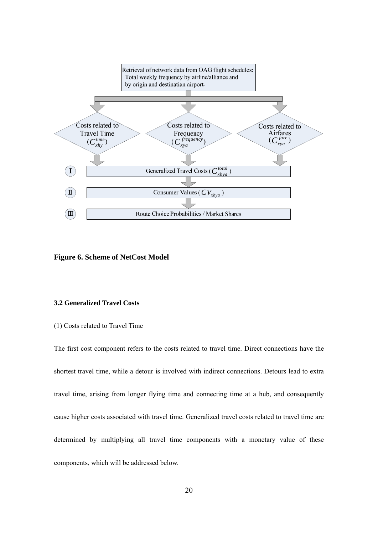

**Figure 6. Scheme of NetCost Model**

#### **3.2 Generalized Travel Costs**

#### (1) Costs related to Travel Time

The first cost component refers to the costs related to travel time. Direct connections have the shortest travel time, while a detour is involved with indirect connections. Detours lead to extra travel time, arising from longer flying time and connecting time at a hub, and consequently cause higher costs associated with travel time. Generalized travel costs related to travel time are determined by multiplying all travel time components with a monetary value of these components, which will be addressed below.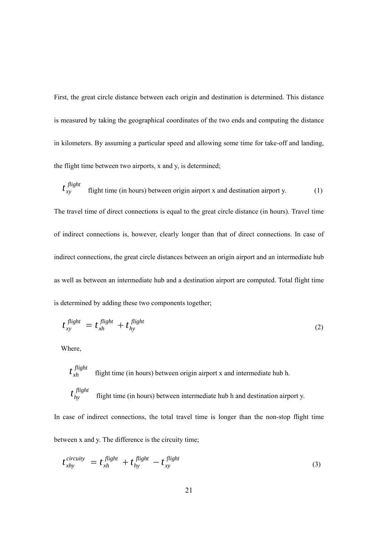First, the great circle distance between each origin and destination is determined. This distance is measured by taking the geographical coordinates of the two ends and computing the distance in kilometers. By assuming a particular speed and allowing some time for take-off and landing, the flight time between two airports, x and y, is determined;

 $t_{xy}$ <sup>flight</sup> *flight time (in hours) between origin airport x and destination airport y.* (1) The travel time of direct connections is equal to the great circle distance (in hours). Travel time of indirect connections is, however, clearly longer than that of direct connections. In case of indirect connections, the great circle distances between an origin airport and an intermediate hub as well as between an intermediate hub and a destination airport are computed. Total flight time is determined by adding these two components together;

$$
t_{xy}^{\text{flight}} = t_{xh}^{\text{flight}} + t_{hy}^{\text{flight}}
$$
 (2)

Where,

 $t_{xh}$ <sup>flight</sup> flight time (in hours) between origin airport x and intermediate hub h.  $t_{hv}^{flight}$ flight time (in hours) between intermediate hub h and destination airport y.

In case of indirect connections, the total travel time is longer than the non-stop flight time between x and y. The difference is the circuity time;

$$
t_{xhy}^{circuity} = t_{xh}^{flight} + t_{hy}^{flight} - t_{xy}^{flight}
$$
\n(3)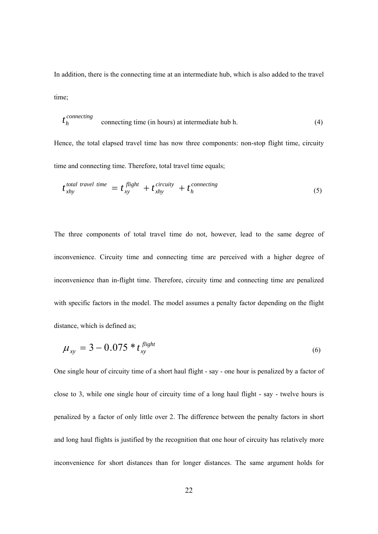In addition, there is the connecting time at an intermediate hub, which is also added to the travel time;

$$
t_h^{connecting}
$$
 connecting time (in hours) at intermediate hub h. (4)

Hence, the total elapsed travel time has now three components: non-stop flight time, circuity time and connecting time. Therefore, total travel time equals;

$$
t_{xhy}^{total\ travel\ time} = t_{xy}^{flight} + t_{xhy}^{circuity} + t_h^{connecting}
$$
\n(5)

The three components of total travel time do not, however, lead to the same degree of inconvenience. Circuity time and connecting time are perceived with a higher degree of inconvenience than in-flight time. Therefore, circuity time and connecting time are penalized with specific factors in the model. The model assumes a penalty factor depending on the flight distance, which is defined as;

$$
\mu_{xy} = 3 - 0.075 * t_{xy}^{\text{flight}} \tag{6}
$$

One single hour of circuity time of a short haul flight - say - one hour is penalized by a factor of close to 3, while one single hour of circuity time of a long haul flight - say - twelve hours is penalized by a factor of only little over 2. The difference between the penalty factors in short and long haul flights is justified by the recognition that one hour of circuity has relatively more inconvenience for short distances than for longer distances. The same argument holds for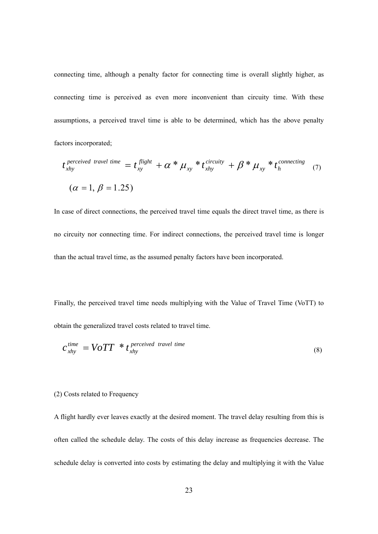connecting time, although a penalty factor for connecting time is overall slightly higher, as connecting time is perceived as even more inconvenient than circuity time. With these assumptions, a perceived travel time is able to be determined, which has the above penalty factors incorporated;

$$
t_{\text{xhy}}^{\text{perceived travel time}} = t_{\text{xy}}^{\text{flight}} + \alpha * \mu_{\text{xy}} * t_{\text{xhy}}^{\text{circuity}} + \beta * \mu_{\text{xy}} * t_{\text{h}}^{\text{connecting}}
$$
  

$$
(\alpha = 1, \beta = 1.25)
$$
 (7)

In case of direct connections, the perceived travel time equals the direct travel time, as there is no circuity nor connecting time. For indirect connections, the perceived travel time is longer than the actual travel time, as the assumed penalty factors have been incorporated.

Finally, the perceived travel time needs multiplying with the Value of Travel Time (VoTT) to obtain the generalized travel costs related to travel time.

$$
c_{\text{xhy}}^{\text{time}} = VOTT \cdot t_{\text{xhy}}^{\text{ perceived travel time}}
$$
\n(8)

#### (2) Costs related to Frequency

A flight hardly ever leaves exactly at the desired moment. The travel delay resulting from this is often called the schedule delay. The costs of this delay increase as frequencies decrease. The schedule delay is converted into costs by estimating the delay and multiplying it with the Value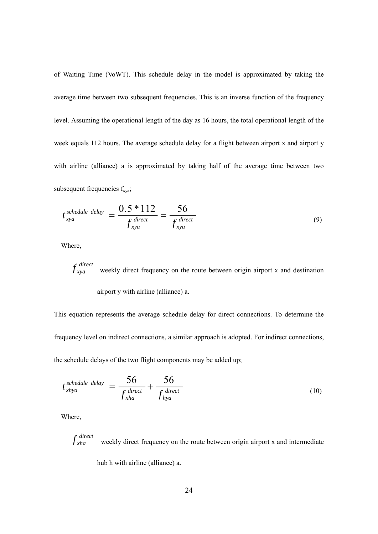of Waiting Time (VoWT). This schedule delay in the model is approximated by taking the average time between two subsequent frequencies. This is an inverse function of the frequency level. Assuming the operational length of the day as 16 hours, the total operational length of the week equals 112 hours. The average schedule delay for a flight between airport x and airport y with airline (alliance) a is approximated by taking half of the average time between two subsequent frequencies  $f_{xyz}$ ;

$$
t_{xyz}^{schedule\ delay} = \frac{0.5 * 112}{f_{xyz}^{direct}} = \frac{56}{f_{xyz}^{direct}}
$$
\n(9)

Where,

 $f_{xyz}^{direct}$  weekly direct frequency on the route between origin airport x and destination airport y with airline (alliance) a.

This equation represents the average schedule delay for direct connections. To determine the frequency level on indirect connections, a similar approach is adopted. For indirect connections, the schedule delays of the two flight components may be added up;

$$
t_{\text{xhya}}^{\text{schedule delay}} = \frac{56}{f_{\text{xha}}^{\text{direct}}} + \frac{56}{f_{\text{hya}}^{\text{direct}}}
$$
(10)

Where,

*direct* weekly direct frequency on the route between origin airport x and intermediate

hub h with airline (alliance) a.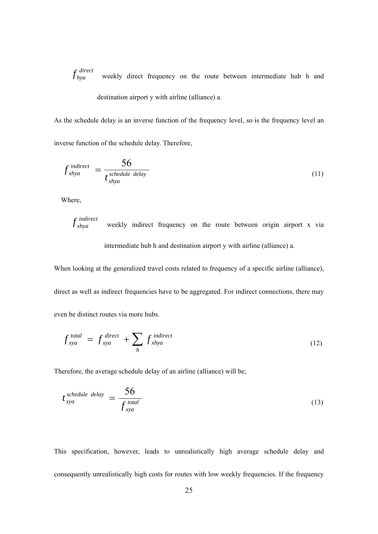*direct* weekly direct frequency on the route between intermediate hub h and destination airport y with airline (alliance) a.

As the schedule delay is an inverse function of the frequency level, so is the frequency level an inverse function of the schedule delay. Therefore,

$$
f_{\text{xhya}}^{\text{indirect}} = \frac{56}{t_{\text{xhya}}^{\text{schedule delay}}}
$$
 (11)

Where,

$$
f_{xhya}
$$
 weekly indirect frequency on the route between origin airport x via

intermediate hub h and destination airport y with airline (alliance) a.

When looking at the generalized travel costs related to frequency of a specific airline (alliance), direct as well as indirect frequencies have to be aggregated. For indirect connections, there may even be distinct routes via more hubs.

$$
f_{xya}^{total} = f_{xya}^{direct} + \sum_{h} f_{xhya}^{indirect}
$$
 (12)

Therefore, the average schedule delay of an airline (alliance) will be;

$$
t_{xya}^{schedule\ delay} = \frac{56}{f_{xya}^{total}}
$$
\n(13)

This specification, however, leads to unrealistically high average schedule delay and consequently unrealistically high costs for routes with low weekly frequencies. If the frequency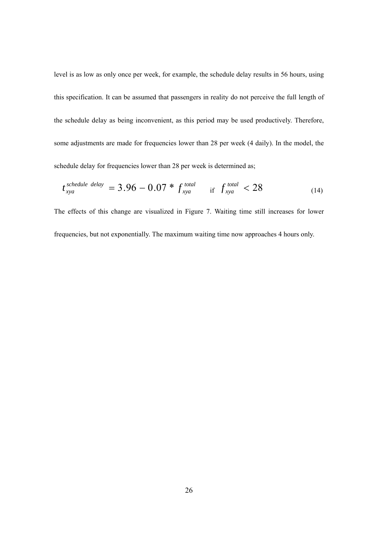level is as low as only once per week, for example, the schedule delay results in 56 hours, using this specification. It can be assumed that passengers in reality do not perceive the full length of the schedule delay as being inconvenient, as this period may be used productively. Therefore, some adjustments are made for frequencies lower than 28 per week (4 daily). In the model, the schedule delay for frequencies lower than 28 per week is determined as;

$$
t_{xyz}^{schedule\ delay} = 3.96 - 0.07 * f_{xyz}^{total} \quad \text{if } f_{xyz}^{total} < 28 \tag{14}
$$

The effects of this change are visualized in Figure 7. Waiting time still increases for lower frequencies, but not exponentially. The maximum waiting time now approaches 4 hours only.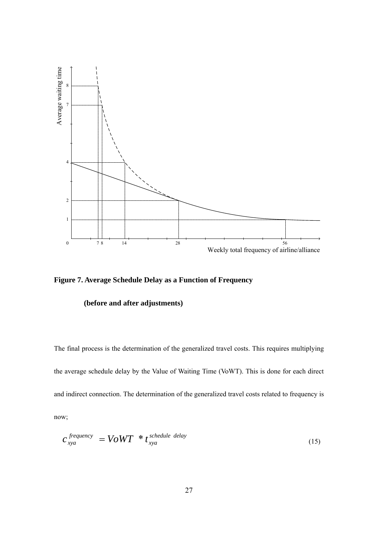

**Figure 7. Average Schedule Delay as a Function of Frequency** 

#### **(before and after adjustments)**

The final process is the determination of the generalized travel costs. This requires multiplying the average schedule delay by the Value of Waiting Time (VoWT). This is done for each direct and indirect connection. The determination of the generalized travel costs related to frequency is now;

$$
c_{xyz}^{frequency} = VoWT * t_{xyz}^{schedule\ delay}
$$
 (15)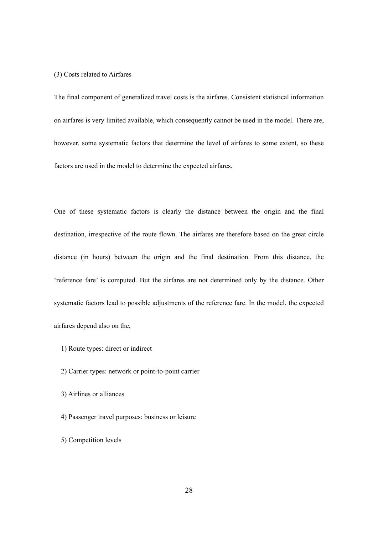#### (3) Costs related to Airfares

The final component of generalized travel costs is the airfares. Consistent statistical information on airfares is very limited available, which consequently cannot be used in the model. There are, however, some systematic factors that determine the level of airfares to some extent, so these factors are used in the model to determine the expected airfares.

One of these systematic factors is clearly the distance between the origin and the final destination, irrespective of the route flown. The airfares are therefore based on the great circle distance (in hours) between the origin and the final destination. From this distance, the 'reference fare' is computed. But the airfares are not determined only by the distance. Other systematic factors lead to possible adjustments of the reference fare. In the model, the expected airfares depend also on the;

- 1) Route types: direct or indirect
- 2) Carrier types: network or point-to-point carrier
- 3) Airlines or alliances
- 4) Passenger travel purposes: business or leisure
- 5) Competition levels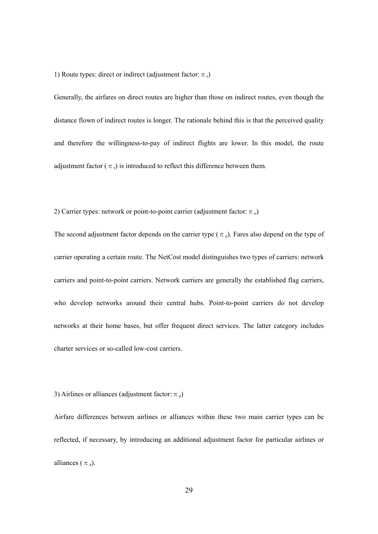1) Route types: direct or indirect (adjustment factor:  $\pi_r$ )

Generally, the airfares on direct routes are higher than those on indirect routes, even though the distance flown of indirect routes is longer. The rationale behind this is that the perceived quality and therefore the willingness-to-pay of indirect flights are lower. In this model, the route adjustment factor ( $\pi_r$ ) is introduced to reflect this difference between them.

2) Carrier types: network or point-to-point carrier (adjustment factor:  $\pi_0$ )

The second adjustment factor depends on the carrier type ( $\pi$ <sub>o</sub>). Fares also depend on the type of carrier operating a certain route. The NetCost model distinguishes two types of carriers: network carriers and point-to-point carriers. Network carriers are generally the established flag carriers, who develop networks around their central hubs. Point-to-point carriers do not develop networks at their home bases, but offer frequent direct services. The latter category includes charter services or so-called low-cost carriers.

#### 3) Airlines or alliances (adjustment factor:  $\pi_a$ )

Airfare differences between airlines or alliances within these two main carrier types can be reflected, if necessary, by introducing an additional adjustment factor for particular airlines or alliances ( $\pi_a$ ).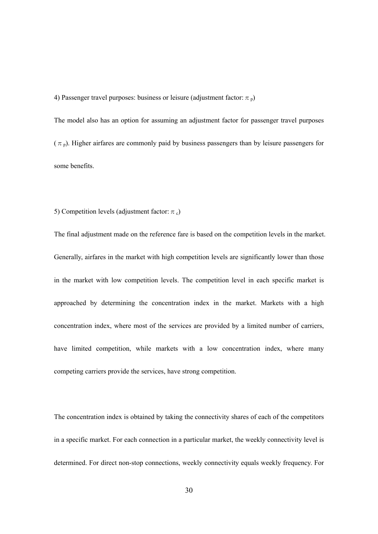4) Passenger travel purposes: business or leisure (adjustment factor:  $\pi$ <sub>p</sub>)

The model also has an option for assuming an adjustment factor for passenger travel purposes  $(\pi_p)$ . Higher airfares are commonly paid by business passengers than by leisure passengers for some benefits.

#### 5) Competition levels (adjustment factor:  $\pi_c$ )

The final adjustment made on the reference fare is based on the competition levels in the market. Generally, airfares in the market with high competition levels are significantly lower than those in the market with low competition levels. The competition level in each specific market is approached by determining the concentration index in the market. Markets with a high concentration index, where most of the services are provided by a limited number of carriers, have limited competition, while markets with a low concentration index, where many competing carriers provide the services, have strong competition.

The concentration index is obtained by taking the connectivity shares of each of the competitors in a specific market. For each connection in a particular market, the weekly connectivity level is determined. For direct non-stop connections, weekly connectivity equals weekly frequency. For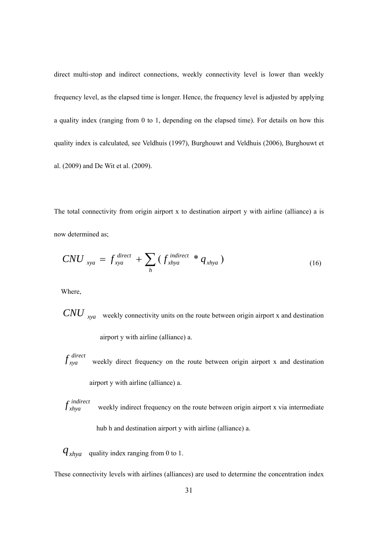direct multi-stop and indirect connections, weekly connectivity level is lower than weekly frequency level, as the elapsed time is longer. Hence, the frequency level is adjusted by applying a quality index (ranging from 0 to 1, depending on the elapsed time). For details on how this quality index is calculated, see Veldhuis (1997), Burghouwt and Veldhuis (2006), Burghouwt et al. (2009) and De Wit et al. (2009).

The total connectivity from origin airport x to destination airport y with airline (alliance) a is now determined as;

$$
CNU_{xya} = f_{xya}^{direct} + \sum_{h} (f_{xhya}^{indirect} * q_{xhya})
$$
\n(16)

Where,

*CNU xya* weekly connectivity units on the route between origin airport x and destination

airport y with airline (alliance) a.

- *direct* weekly direct frequency on the route between origin airport x and destination airport y with airline (alliance) a.
- *indirect* weekly indirect frequency on the route between origin airport x via intermediate hub h and destination airport y with airline (alliance) a.
- $q_{\text{xhya}}$  quality index ranging from 0 to 1.

These connectivity levels with airlines (alliances) are used to determine the concentration index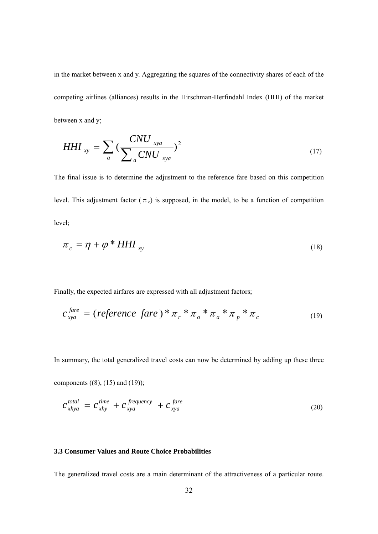in the market between x and y. Aggregating the squares of the connectivity shares of each of the competing airlines (alliances) results in the Hirschman-Herfindahl Index (HHI) of the market between x and y;

$$
HHI_{xy} = \sum_{a} \left( \frac{CNU_{xya}}{\sum_{a} CNU_{xya}} \right)^2
$$
 (17)

The final issue is to determine the adjustment to the reference fare based on this competition level. This adjustment factor ( $\pi_c$ ) is supposed, in the model, to be a function of competition level;

$$
\pi_c = \eta + \varphi^* H H I_{xy}
$$
\n<sup>(18)</sup>

Finally, the expected airfares are expressed with all adjustment factors;

$$
c_{xyz}^{fare} = (reference \; fare) * \pi_r * \pi_o * \pi_a * \pi_p * \pi_c \tag{19}
$$

In summary, the total generalized travel costs can now be determined by adding up these three

components  $((8), (15)$  and  $(19))$ ;

$$
c_{\text{xhya}}^{\text{total}} = c_{\text{xhy}}^{\text{time}} + c_{\text{xya}}^{\text{frequency}} + c_{\text{xya}}^{\text{fare}} \tag{20}
$$

#### **3.3 Consumer Values and Route Choice Probabilities**

The generalized travel costs are a main determinant of the attractiveness of a particular route.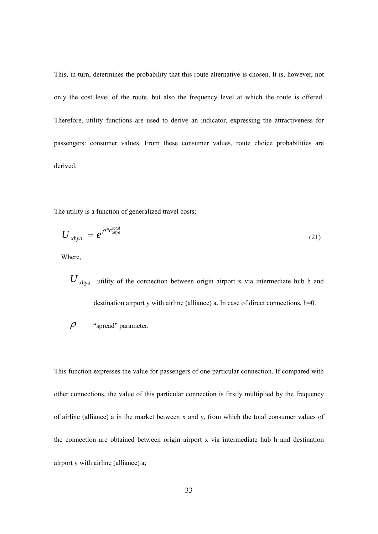This, in turn, determines the probability that this route alternative is chosen. It is, however, not only the cost level of the route, but also the frequency level at which the route is offered. Therefore, utility functions are used to derive an indicator, expressing the attractiveness for passengers: consumer values. From these consumer values, route choice probabilities are derived.

The utility is a function of generalized travel costs;

$$
U_{\chi hya} = e^{\rho^* c_{\chi hya}^{total}}
$$
 (21)

Where,

*U xhya* utility of the connection between origin airport x via intermediate hub h and destination airport y with airline (alliance) a. In case of direct connections, h=0.

$$
\rho
$$
 "spread" parameter.

This function expresses the value for passengers of one particular connection. If compared with other connections, the value of this particular connection is firstly multiplied by the frequency of airline (alliance) a in the market between x and y, from which the total consumer values of the connection are obtained between origin airport x via intermediate hub h and destination airport y with airline (alliance) a;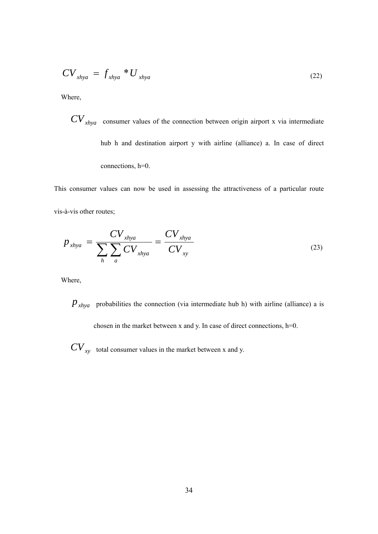$$
CV_{\lambda hya} = f_{\lambda hya} * U_{\lambda hya}
$$
 (22)

Where,

 $CV_{xhya}$  consumer values of the connection between origin airport x via intermediate hub h and destination airport y with airline (alliance) a. In case of direct connections, h=0.

This consumer values can now be used in assessing the attractiveness of a particular route vis-à-vis other routes;

$$
p_{\text{xhya}} = \frac{CV_{\text{xhya}}}{\sum_{h} \sum_{a} CV_{\text{xhya}}} = \frac{CV_{\text{xhya}}}{CV_{\text{xy}}}
$$
(23)

Where,

 $P_{\text{x}hya}$  probabilities the connection (via intermediate hub h) with airline (alliance) a is chosen in the market between x and y. In case of direct connections, h=0.

 $CV_{xy}$  total consumer values in the market between x and y.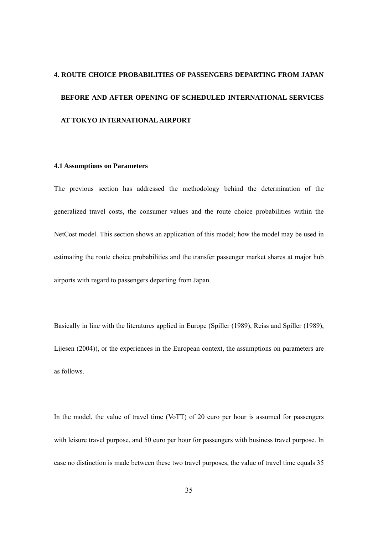# **4. ROUTE CHOICE PROBABILITIES OF PASSENGERS DEPARTING FROM JAPAN BEFORE AND AFTER OPENING OF SCHEDULED INTERNATIONAL SERVICES AT TOKYO INTERNATIONAL AIRPORT**

#### **4.1 Assumptions on Parameters**

The previous section has addressed the methodology behind the determination of the generalized travel costs, the consumer values and the route choice probabilities within the NetCost model. This section shows an application of this model; how the model may be used in estimating the route choice probabilities and the transfer passenger market shares at major hub airports with regard to passengers departing from Japan.

Basically in line with the literatures applied in Europe (Spiller (1989), Reiss and Spiller (1989), Lijesen (2004)), or the experiences in the European context, the assumptions on parameters are as follows.

In the model, the value of travel time (VoTT) of 20 euro per hour is assumed for passengers with leisure travel purpose, and 50 euro per hour for passengers with business travel purpose. In case no distinction is made between these two travel purposes, the value of travel time equals 35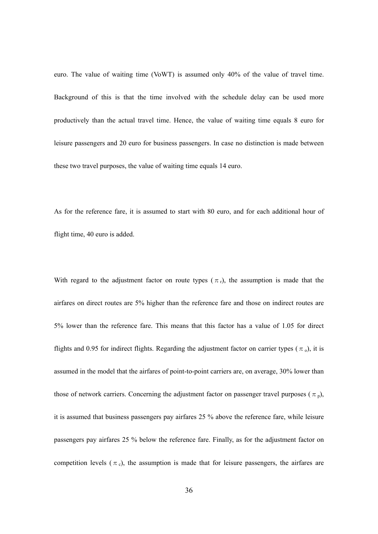euro. The value of waiting time (VoWT) is assumed only 40% of the value of travel time. Background of this is that the time involved with the schedule delay can be used more productively than the actual travel time. Hence, the value of waiting time equals 8 euro for leisure passengers and 20 euro for business passengers. In case no distinction is made between these two travel purposes, the value of waiting time equals 14 euro.

As for the reference fare, it is assumed to start with 80 euro, and for each additional hour of flight time, 40 euro is added.

With regard to the adjustment factor on route types ( $\pi$ <sub>r</sub>), the assumption is made that the airfares on direct routes are 5% higher than the reference fare and those on indirect routes are 5% lower than the reference fare. This means that this factor has a value of 1.05 for direct flights and 0.95 for indirect flights. Regarding the adjustment factor on carrier types ( $\pi$ <sub>o</sub>), it is assumed in the model that the airfares of point-to-point carriers are, on average, 30% lower than those of network carriers. Concerning the adjustment factor on passenger travel purposes ( $\pi_p$ ), it is assumed that business passengers pay airfares 25 % above the reference fare, while leisure passengers pay airfares 25 % below the reference fare. Finally, as for the adjustment factor on competition levels ( $\pi_c$ ), the assumption is made that for leisure passengers, the airfares are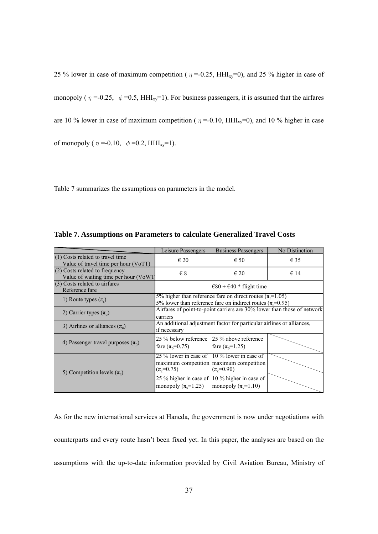25 % lower in case of maximum competition ( $\eta = 0.25$ , HHI<sub>xy</sub>=0), and 25 % higher in case of monopoly ( $\eta = 0.25$ ,  $\psi = 0.5$ , HHI<sub>xy</sub>=1). For business passengers, it is assumed that the airfares are 10 % lower in case of maximum competition ( $\eta$  =-0.10, HHI<sub>xy</sub>=0), and 10 % higher in case of monopoly ( $\eta = -0.10$ ,  $\phi = 0.2$ , HHI<sub>xv</sub>=1).

Table 7 summarizes the assumptions on parameters in the model.

|                                                                            | Leisure Passengers                              | <b>Business Passengers</b>                                                                                                                                | No Distinction |
|----------------------------------------------------------------------------|-------------------------------------------------|-----------------------------------------------------------------------------------------------------------------------------------------------------------|----------------|
| $(1)$ Costs related to travel time<br>Value of travel time per hour (VoTT) | $\epsilon$ 20                                   | $\epsilon$ 50                                                                                                                                             | $\epsilon$ 35  |
| $(2)$ Costs related to frequency<br>Value of waiting time per hour (VoWT   | $\epsilon$ 8                                    | $\epsilon$ 20                                                                                                                                             | $\epsilon$ 14  |
| $(3)$ Costs related to airfares<br>Reference fare                          |                                                 | $\epsilon$ 80 + $\epsilon$ 40 * flight time                                                                                                               |                |
| 1) Route types $(\pi_r)$                                                   |                                                 | 5% higher than reference fare on direct routes ( $\pi$ <sub>r</sub> =1.05)<br>5% lower than reference fare on indirect routes ( $\pi$ <sub>r</sub> =0.95) |                |
| 2) Carrier types $(\pi_0)$                                                 | carriers                                        | Airfares of point-to-point carriers are 30% lower than those of network                                                                                   |                |
| 3) Airlines or alliances $(\pi_a)$                                         | if necessary                                    | An additional adjustment factor for particular airlines or alliances,                                                                                     |                |
| 4) Passenger travel purposes $(\pi_{p})$                                   | 25 % below reference<br>fare $(\pi_{p} = 0.75)$ | 25 % above reference<br>fare $(\pi_{p} = 1.25)$                                                                                                           |                |
| 5) Competition levels $(\pi_c)$                                            | 25 % lower in case of<br>$(\pi_e=0.75)$         | 10 % lower in case of<br>maximum competition maximum competition<br>$(\pi_{c} = 0.90)$                                                                    |                |
|                                                                            | monopoly $(\pi_{\rm c} = 1.25)$                 | 25 % higher in case of 10 % higher in case of<br>monopoly $(\pi_c=1.10)$                                                                                  |                |

**Table 7. Assumptions on Parameters to calculate Generalized Travel Costs** 

As for the new international services at Haneda, the government is now under negotiations with counterparts and every route hasn't been fixed yet. In this paper, the analyses are based on the assumptions with the up-to-date information provided by Civil Aviation Bureau, Ministry of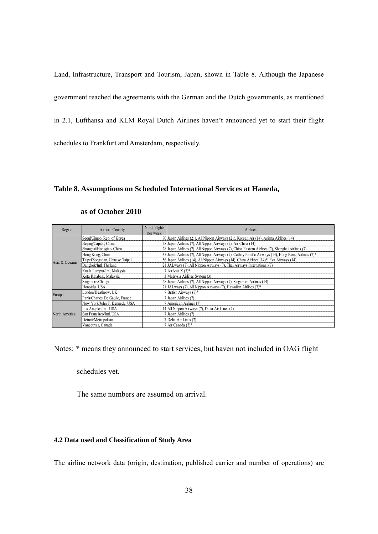Land, Infrastructure, Transport and Tourism, Japan, shown in Table 8. Although the Japanese government reached the agreements with the German and the Dutch governments, as mentioned in 2.1, Lufthansa and KLM Royal Dutch Airlines haven't announced yet to start their flight schedules to Frankfurt and Amsterdam, respectively.

#### **Table 8. Assumptions on Scheduled International Services at Haneda,**

| Region                   | Airport Counrty                 | No.of Flights<br>per week | Airlines                                                                                            |
|--------------------------|---------------------------------|---------------------------|-----------------------------------------------------------------------------------------------------|
|                          | Seoul/Gimpo, Rep. of Korea      |                           | 70 Japan Airlines (21), All Nippon Airways (21), Korean Air (14), Asiana Airlines (14)              |
|                          | Beijing/Capital, China          |                           | 28 Japan Airlines (7), All Nippon Airways (7), Air China (14)                                       |
|                          | Shanghai/Hongqiao, China        |                           | 28 Japan Airlines (7), All Nippon Airways (7), China Eastern Airlines (7), Shanghai Airlines (7)    |
|                          | Hong Kong, China                |                           | 35 Japan Airlines (7), All Nippon Airways (7), Cathay Pacific Airways (14), Hong Kong Airlines (7)* |
|                          | Taipei/Songshan, Chinese Taipei |                           | 56 Japan Airlines (14), All Nippon Airways (14), China Airlines (14)*, Eva Airways (14)             |
|                          | Bangkok/Intl. Thailand          |                           | 21 JALways (7), All Nippon Airways (7), Thai Airways International (7)                              |
| Asia & Oceania<br>Europe | Kuala Lumpur/Intl, Malaysia     |                           | 7 AirAsia X (7)*                                                                                    |
|                          | Kota Kinabalu, Malaysia         |                           | 3 Malaysia Airlines System (3)                                                                      |
|                          | Singapore/Changi                |                           | 28 Japan Airlines (7), All Nippon Airways (7), Singapore Airlines (14)                              |
|                          | Honolulu USA                    |                           | 21 JALways (7), All Nippon Airways (7), Hawaiian Airlines (7)*                                      |
|                          | London/Heathrow, UK             |                           | 7 British Airways (7)*                                                                              |
|                          | Paris/Charles De Gaulle, France |                           | Japan Airlines (7)                                                                                  |
|                          | New York/John F. Kennedy, USA   |                           | 7 American Airlines (7)                                                                             |
|                          | Los Angeles/Intl, USA           |                           | 14 All Nippon Airways (7), Delta Air Lines (7)                                                      |
| North America            | San Francisco/Intl. USA         |                           | 7 Japan Airlines (7)                                                                                |
|                          | Detroit/Metropolitan            |                           | 7 Delta Air Lines (7)                                                                               |
|                          | Vancouver, Canada               |                           | 7 Air Canada (7)*                                                                                   |

#### **as of October 2010**

Notes: \* means they announced to start services, but haven not included in OAG flight

schedules yet.

The same numbers are assumed on arrival.

#### **4.2 Data used and Classification of Study Area**

The airline network data (origin, destination, published carrier and number of operations) are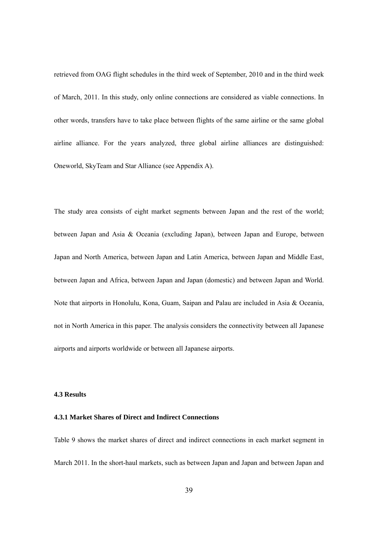retrieved from OAG flight schedules in the third week of September, 2010 and in the third week of March, 2011. In this study, only online connections are considered as viable connections. In other words, transfers have to take place between flights of the same airline or the same global airline alliance. For the years analyzed, three global airline alliances are distinguished: Oneworld, SkyTeam and Star Alliance (see Appendix A).

The study area consists of eight market segments between Japan and the rest of the world; between Japan and Asia & Oceania (excluding Japan), between Japan and Europe, between Japan and North America, between Japan and Latin America, between Japan and Middle East, between Japan and Africa, between Japan and Japan (domestic) and between Japan and World. Note that airports in Honolulu, Kona, Guam, Saipan and Palau are included in Asia & Oceania, not in North America in this paper. The analysis considers the connectivity between all Japanese airports and airports worldwide or between all Japanese airports.

#### **4.3 Results**

#### **4.3.1 Market Shares of Direct and Indirect Connections**

Table 9 shows the market shares of direct and indirect connections in each market segment in March 2011. In the short-haul markets, such as between Japan and Japan and between Japan and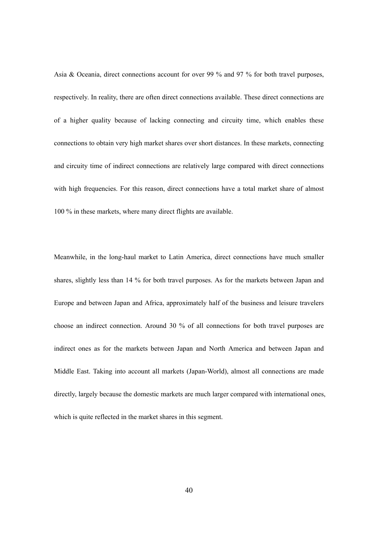Asia & Oceania, direct connections account for over 99 % and 97 % for both travel purposes, respectively. In reality, there are often direct connections available. These direct connections are of a higher quality because of lacking connecting and circuity time, which enables these connections to obtain very high market shares over short distances. In these markets, connecting and circuity time of indirect connections are relatively large compared with direct connections with high frequencies. For this reason, direct connections have a total market share of almost 100 % in these markets, where many direct flights are available.

Meanwhile, in the long-haul market to Latin America, direct connections have much smaller shares, slightly less than 14 % for both travel purposes. As for the markets between Japan and Europe and between Japan and Africa, approximately half of the business and leisure travelers choose an indirect connection. Around 30 % of all connections for both travel purposes are indirect ones as for the markets between Japan and North America and between Japan and Middle East. Taking into account all markets (Japan-World), almost all connections are made directly, largely because the domestic markets are much larger compared with international ones, which is quite reflected in the market shares in this segment.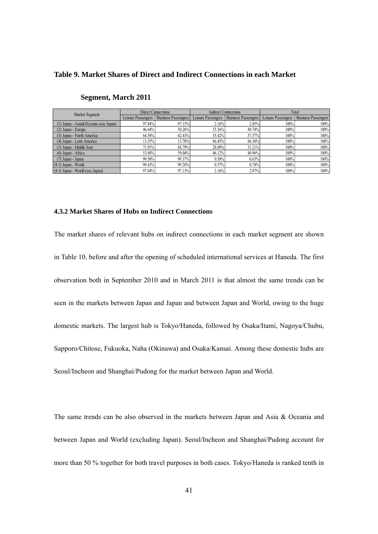#### **Table 9. Market Shares of Direct and Indirect Connections in each Market**

| Market Segment                            |                    | Direct Connections  |                    | <b>Indirect Connections</b> |                    | Total                      |
|-------------------------------------------|--------------------|---------------------|--------------------|-----------------------------|--------------------|----------------------------|
|                                           | Leisure Passengers | Business Passengers | Leisure Passengers | <b>Business Passengers</b>  | Leisure Passengers | <b>Business Passengers</b> |
| $(1)$ Japan - Asia & Oceania (exc. Japan) | 97.84%             | 97.15%              | 2.16%              | 2.85%                       | 100%               | 100%                       |
| (2) Japan - Europe                        | 46.64%             | 50.26%              | 53.36%             | 49.74%                      | 100%               | 100%                       |
| (3) Japan - North America                 | 64.58%             | 62.43%              | 35.42%             | 37.57%                      | 100%               | 100%                       |
| (4) Japan - Latin America                 | 13.55%             | 13.70%              | 86.45%             | 86.30%                      | 100%               | 100%                       |
| (5) Japan - Middle East                   | 71.91%             | 68.79%              | 28.09%             | 31.21%                      | 100%               | 100%                       |
| $(6)$ Japan - Africa                      | 53.88%             | 59.04%              | $46.12\%$          | 40.96%                      | 100%               | 100%                       |
| $(7)$ Japan - Japan                       | 99.50%             | 99.37%              | 0.50%              | 0.63%                       | 100%               | 100%                       |
| $(8.1)$ Japan - World                     | 99.43%             | 99.26%              | 0.57%              | 0.74%                       | 100%               | 100%                       |
| (8.1) Japan - World (exc. Japan)          | 97.84%             | 97.13%              | 2.16%              | 2.87%                       | 100%               | 100%                       |

#### **Segment, March 2011**

#### **4.3.2 Market Shares of Hubs on Indirect Connections**

The market shares of relevant hubs on indirect connections in each market segment are shown in Table 10, before and after the opening of scheduled international services at Haneda. The first observation both in September 2010 and in March 2011 is that almost the same trends can be seen in the markets between Japan and Japan and between Japan and World, owing to the huge domestic markets. The largest hub is Tokyo/Haneda, followed by Osaka/Itami, Nagoya/Chubu, Sapporo/Chitose, Fukuoka, Naha (Okinawa) and Osaka/Kansai. Among these domestic hubs are Seoul/Incheon and Shanghai/Pudong for the market between Japan and World.

The same trends can be also observed in the markets between Japan and Asia & Oceania and between Japan and World (excluding Japan). Seoul/Incheon and Shanghai/Pudong account for more than 50 % together for both travel purposes in both cases. Tokyo/Haneda is ranked tenth in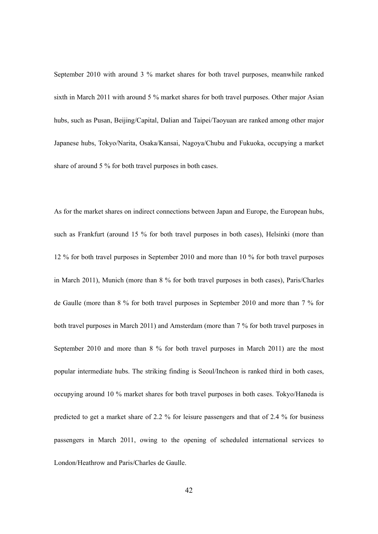September 2010 with around 3 % market shares for both travel purposes, meanwhile ranked sixth in March 2011 with around 5 % market shares for both travel purposes. Other major Asian hubs, such as Pusan, Beijing/Capital, Dalian and Taipei/Taoyuan are ranked among other major Japanese hubs, Tokyo/Narita, Osaka/Kansai, Nagoya/Chubu and Fukuoka, occupying a market share of around 5 % for both travel purposes in both cases.

As for the market shares on indirect connections between Japan and Europe, the European hubs, such as Frankfurt (around 15 % for both travel purposes in both cases), Helsinki (more than 12 % for both travel purposes in September 2010 and more than 10 % for both travel purposes in March 2011), Munich (more than 8 % for both travel purposes in both cases), Paris/Charles de Gaulle (more than 8 % for both travel purposes in September 2010 and more than 7 % for both travel purposes in March 2011) and Amsterdam (more than 7 % for both travel purposes in September 2010 and more than 8 % for both travel purposes in March 2011) are the most popular intermediate hubs. The striking finding is Seoul/Incheon is ranked third in both cases, occupying around 10 % market shares for both travel purposes in both cases. Tokyo/Haneda is predicted to get a market share of 2.2 % for leisure passengers and that of 2.4 % for business passengers in March 2011, owing to the opening of scheduled international services to London/Heathrow and Paris/Charles de Gaulle.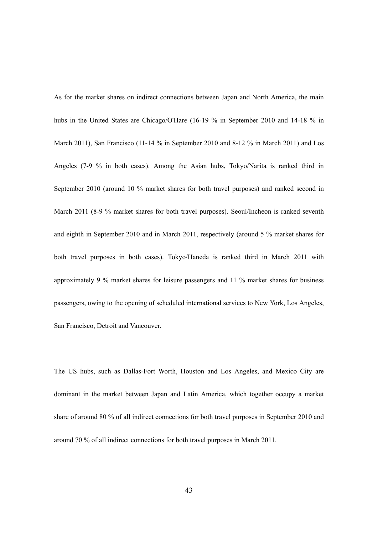As for the market shares on indirect connections between Japan and North America, the main hubs in the United States are Chicago/O'Hare (16-19 % in September 2010 and 14-18 % in March 2011), San Francisco (11-14 % in September 2010 and 8-12 % in March 2011) and Los Angeles (7-9 % in both cases). Among the Asian hubs, Tokyo/Narita is ranked third in September 2010 (around 10 % market shares for both travel purposes) and ranked second in March 2011 (8-9 % market shares for both travel purposes). Seoul/Incheon is ranked seventh and eighth in September 2010 and in March 2011, respectively (around 5 % market shares for both travel purposes in both cases). Tokyo/Haneda is ranked third in March 2011 with approximately 9 % market shares for leisure passengers and 11 % market shares for business passengers, owing to the opening of scheduled international services to New York, Los Angeles, San Francisco, Detroit and Vancouver.

The US hubs, such as Dallas-Fort Worth, Houston and Los Angeles, and Mexico City are dominant in the market between Japan and Latin America, which together occupy a market share of around 80 % of all indirect connections for both travel purposes in September 2010 and around 70 % of all indirect connections for both travel purposes in March 2011.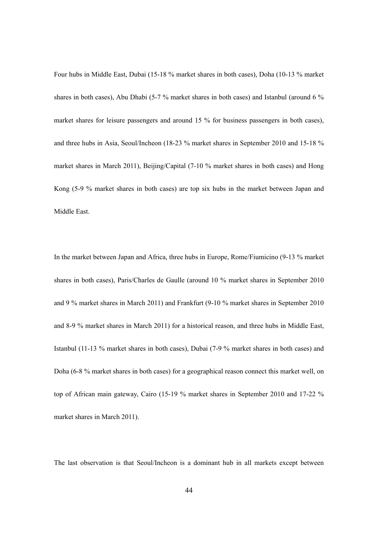Four hubs in Middle East, Dubai (15-18 % market shares in both cases), Doha (10-13 % market shares in both cases), Abu Dhabi (5-7 % market shares in both cases) and Istanbul (around 6 % market shares for leisure passengers and around 15 % for business passengers in both cases), and three hubs in Asia, Seoul/Incheon (18-23 % market shares in September 2010 and 15-18 % market shares in March 2011), Beijing/Capital (7-10 % market shares in both cases) and Hong Kong (5-9 % market shares in both cases) are top six hubs in the market between Japan and Middle East.

In the market between Japan and Africa, three hubs in Europe, Rome/Fiumicino (9-13 % market shares in both cases), Paris/Charles de Gaulle (around 10 % market shares in September 2010 and 9 % market shares in March 2011) and Frankfurt (9-10 % market shares in September 2010 and 8-9 % market shares in March 2011) for a historical reason, and three hubs in Middle East, Istanbul (11-13 % market shares in both cases), Dubai (7-9 % market shares in both cases) and Doha (6-8 % market shares in both cases) for a geographical reason connect this market well, on top of African main gateway, Cairo (15-19 % market shares in September 2010 and 17-22 % market shares in March 2011).

The last observation is that Seoul/Incheon is a dominant hub in all markets except between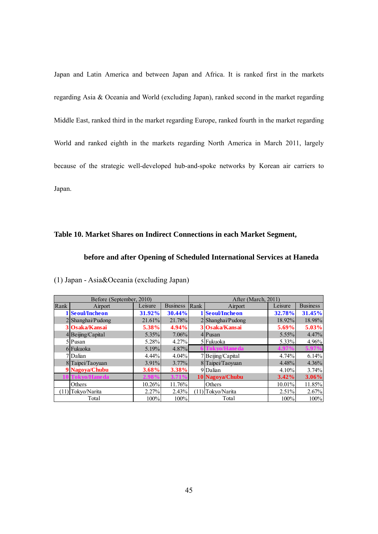Japan and Latin America and between Japan and Africa. It is ranked first in the markets regarding Asia & Oceania and World (excluding Japan), ranked second in the market regarding Middle East, ranked third in the market regarding Europe, ranked fourth in the market regarding World and ranked eighth in the markets regarding North America in March 2011, largely because of the strategic well-developed hub-and-spoke networks by Korean air carriers to Japan.

#### **Table 10. Market Shares on Indirect Connections in each Market Segment,**

#### **before and after Opening of Scheduled International Services at Haneda**

|      | Before (September, 2010) |           |                   | After (March, 2011) |                     |           |                 |
|------|--------------------------|-----------|-------------------|---------------------|---------------------|-----------|-----------------|
| Rank | Airport                  | Leisure   | <b>Business</b>   | Rank                | Airport             | Leisure   | <b>Business</b> |
|      | <b>Seoul/Incheon</b>     | 31.92%    | 30.44%            |                     | Seoul/Incheon       | 32.78%    | 31.45%          |
|      | $2$ Shanghai/Pudong      | $21.61\%$ | 21.78%            |                     | $2$ Shanghai/Pudong | 18.92%    | 18.98%          |
|      | 3 Osaka/Kansai           | 5.38%     | 4.94%             |                     | 3 Osaka/Kansai      | 5.69%     | $5.03\%$        |
|      | 4 Beijing/Capital        | $5.35\%$  | 7.06%             |                     | $4$ Pusan           | $5.55\%$  | 4.47%           |
|      | $5$  Pusan               | 5.28%     | 4.27%             |                     | 5 Fukuoka           | $5.33\%$  | 4.96%           |
|      | 6 Fukuoka                | 5.19%     | $4.87\%$          |                     | <b>Fokvo/Haneda</b> | 4.97      | $5.97\%$        |
|      | 7 Dalian                 | $4.44\%$  | 4.04%             |                     | 7Beijing/Capital    | 4.74%     | 6.14%           |
|      | 8 Taipei/Taoyuan         | $3.91\%$  | $3.77\%$          |                     | 8 Taipei/Taoyuan    | $4.48\%$  | 4.36%           |
|      | 9 Nagoya/Chubu           | 3.68%     | 3.38%             |                     | 9Dalian             | 4.10%     | 3.74%           |
|      | Tokyo/Haneda             | 2.98      | 3.71 <sup>o</sup> |                     | 10 Nagoya/Chubu     | $3.42\%$  | 3.06%           |
|      | Others                   | 10.26%    | 11.76%            |                     | Others              | $10.01\%$ | 11.85%          |
|      | (11) Tokyo/Narita        | 2.27%     | 2.43%             |                     | $(11)$ Tokyo/Narita | $2.51\%$  | 2.67%           |
|      | Total                    | 100%      | 100%              |                     | Total               | 100%      | 100%            |

(1) Japan - Asia&Oceania (excluding Japan)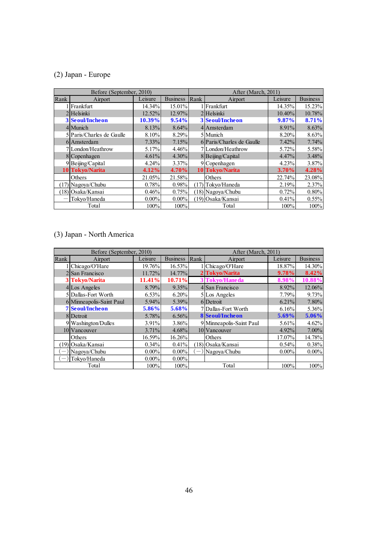# (2) Japan - Europe

|      | Before (September, 2010)  |           |                 |      | After (March, 2011)       |           |                 |
|------|---------------------------|-----------|-----------------|------|---------------------------|-----------|-----------------|
| Rank | Airport                   | Leisure   | <b>Business</b> | Rank | Airport                   | Leisure   | <b>Business</b> |
|      | Frankfurt                 | 14.34%    | 15.01%          |      | l Frankfurt               | 14.35%    | 15.23%          |
|      | $2$ Helsinki              | $12.52\%$ | $12.97\%$       |      | 2Helsinki                 | $10.40\%$ | 10.78%          |
|      | <b>3 Seoul/Incheon</b>    | 10.39%    | 9.54%           |      | 3 Seoul/Incheon           | 9.87%     | 8.71%           |
|      | 4 Munich                  | 8.13%     | 8.64%           |      | 4 Amsterdam               | 8.91%     | 8.63%           |
|      | 5 Paris/Charles de Gaulle | 8.10%     | 8.29%           |      | 5 Munich                  | $8.20\%$  | 8.63%           |
|      | 6 Amsterdam               | $7.33\%$  | 7.15%           |      | 6 Paris/Charles de Gaulle | $7.42\%$  | 7.74%           |
|      | 7 London/Heathrow         | 5.17%     | 4.46%           |      | 7London/Heathrow          | $5.72\%$  | 5.58%           |
|      | 8 Copenhagen              | 4.61%     | $4.30\%$        |      | 8 Beijing/Capital         | 4.47%     | 3.48%           |
|      | 9 Beijing/Capital         | $4.24\%$  | 3.37%           |      | 9 Copenhagen              | 4.23%     | 3.87%           |
|      | 10 Tokyo/Narita           | 4.12%     | 4.70%           |      | 10 Tokyo/Narita           | 3.70%     | 4.28%           |
|      | Others                    | 21.05%    | 21.58%          |      | Others                    | 22.74%    | 23.08%          |
|      | $(17)$ Nagoya/Chubu       | 0.78%     | 0.98%           |      | (17) Tokyo/Haneda         | 2.19%     | 2.37%           |
|      | (18) Osaka/Kansai         | 0.46%     | 0.75%           |      | $(18)$ Nagoya/Chubu       | 0.72%     | 0.80%           |
|      | Tokyo/Haneda              | $0.00\%$  | $0.00\%$        |      | (19) Osaka/Kansai         | 0.41%     | 0.55%           |
|      | Total                     | 100%      | 100%            |      | Total                     | 100%      | 100%            |

# (3) Japan - North America

|      | Before (September, 2010) |           |                 | After (March, 2011)      |                          |           |                 |
|------|--------------------------|-----------|-----------------|--------------------------|--------------------------|-----------|-----------------|
| Rank | Airport                  | Leisure   | <b>Business</b> | Rank                     | Airport                  | Leisure   | <b>Business</b> |
|      | l Chicago/O'Hare         | $19.76\%$ | 16.53%          |                          | Chicago/O'Hare           | 18.87%    | 14.30%          |
|      | 2 San Francisco          | 11.72%    | 14.77%          |                          | 2 Tokyo/Narita           | 9.78%     | 8.42%           |
|      | 3 Tokyo/Narita           | 11.41%    | 10.71%          |                          | 3 Tokyo/Haneda           | 8.98%     | 10.88%          |
|      | 4 Los Angeles            | 8.79%     | $9.35\%$        |                          | 4 San Francisco          | 8.92%     | 12.06%          |
|      | 5 Dallas-Fort Worth      | 6.53%     | 6.20%           |                          | 5 Los Angeles            | 7.79%     | 9.73%           |
|      | 6 Minneapolis-Saint Paul | $5.94\%$  | 5.39%           |                          | 6Detroit                 | $6.21\%$  | 7.80%           |
|      | <b>7 Seoul/Incheon</b>   | 5.86%     | 5.68%           |                          | 7Dallas-Fort Worth       | 6.16%     | 5.36%           |
|      | 8 Detroit                | 5.78%     | 6.56%           |                          | <b>8 Seoul/Incheon</b>   | 5.69%     | 5.06%           |
|      | 9 Washington/Dulles      | $3.91\%$  | 3.86%           |                          | 9 Minneapolis-Saint Paul | $5.61\%$  | 4.62%           |
|      | 10 Vancouver             | $3.71\%$  | 4.68%           |                          | 10 Vancouver             | $4.92\%$  | $7.00\%$        |
|      | Others                   | 16.59%    | 16.26%          |                          | Others                   | $17.07\%$ | 14.78%          |
|      | $(19)$ Osaka/Kansai      | 0.34%     | 0.41%           |                          | $(18)$ Osaka/Kansai      | $0.54\%$  | 0.38%           |
|      | Nagoya/Chubu             | $0.00\%$  | $0.00\%$        | $\overline{\phantom{m}}$ | Nagoya/Chubu             | $0.00\%$  | $0.00\%$        |
|      | Tokyo/Haneda             | $0.00\%$  | $0.00\%$        |                          |                          |           |                 |
|      | Total                    | 100%      | 100%            |                          | Total                    | 100%      | 100%            |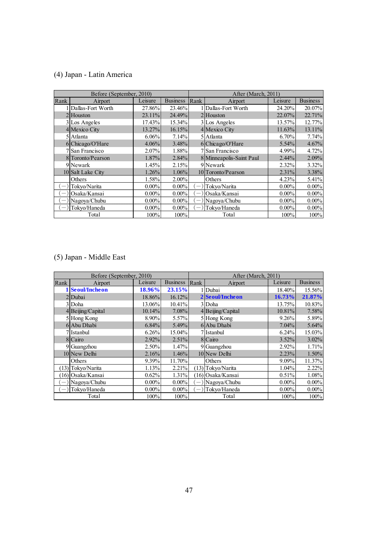# (4) Japan - Latin America

| Before (September, 2010)        |                    |           |                 |                          | After (March, 2011)      |          |                 |  |
|---------------------------------|--------------------|-----------|-----------------|--------------------------|--------------------------|----------|-----------------|--|
| Rank                            | Airport            | Leisure   | <b>Business</b> | Rank                     | Airport                  | Leisure  | <b>Business</b> |  |
|                                 | Dallas-Fort Worth  | 27.86%    | 23.46%          |                          | 1 Dallas-Fort Worth      | 24.20%   | 20.07%          |  |
|                                 | 2 Houston          | $23.11\%$ | 24.49%          |                          | $2$ Houston              | 22.07%   | 22.71%          |  |
|                                 | 3 Los Angeles      | $17.43\%$ | 15.34%          |                          | 3 Los Angeles            | 13.57%   | 12.77%          |  |
|                                 | 4 Mexico City      | 13.27%    | 16.15%          |                          | 4 Mexico City            | 11.63%   | 13.11%          |  |
|                                 | 5 Atlanta          | $6.06\%$  | 7.14%           |                          | 5 Atlanta                | $6.70\%$ | 7.74%           |  |
|                                 | 6 Chicago/O'Hare   | $4.06\%$  | 3.48%           |                          | 6 Chicago/O'Hare         | $5.54\%$ | 4.67%           |  |
|                                 | 7 San Francisco    | $2.07\%$  | 1.88%           |                          | 7 San Francisco          | 4.99%    | 4.72%           |  |
|                                 | 8 Toronto/Pearson  | $1.87\%$  | 2.84%           |                          | 8 Minneapolis-Saint Paul | $2.44\%$ | 2.09%           |  |
|                                 | 9 Newark           | $1.45\%$  | 2.15%           |                          | 9 Newark                 | 2.32%    | 3.32%           |  |
|                                 | 10 Salt Lake City  | 1.26%     | 1.06%           |                          | 10 Toronto/Pearson       | 2.31%    | 3.38%           |  |
|                                 | Others             | 1.58%     | 2.00%           |                          | Others                   | 4.23%    | 5.41%           |  |
| $\overline{\phantom{m}}$        | Tokyo/Narita       | $0.00\%$  | $0.00\%$        | $\overline{\phantom{m}}$ | Tokyo/Narita             | $0.00\%$ | $0.00\%$        |  |
| $\overline{\phantom{m}}$        | Osaka/Kansai       | $0.00\%$  | $0.00\%$        |                          | $\Box$ Osaka/Kansai      | $0.00\%$ | $0.00\%$        |  |
|                                 | $(-)$ Nagoya/Chubu | $0.00\%$  | $0.00\%$        |                          | $(-)$  Nagoya/Chubu      | $0.00\%$ | $0.00\%$        |  |
| $\hspace{0.1mm}-\hspace{0.1mm}$ | Tokyo/Haneda       | $0.00\%$  | $0.00\%$        |                          | $-$ ) Tokyo/Haneda       | $0.00\%$ | $0.00\%$        |  |
|                                 | Total              | 100%      | 100%            |                          | Total                    | 100%     | 100%            |  |

# (5) Japan - Middle East

| Before (September, 2010) |                    |               |                 |      | After (March, 2011) |          |                 |  |  |
|--------------------------|--------------------|---------------|-----------------|------|---------------------|----------|-----------------|--|--|
| Rank                     | Airport            | Leisure       | <b>Business</b> | Rank | Airport             | Leisure  | <b>Business</b> |  |  |
|                          | 1 Seoul/Incheon    | <b>18.96%</b> | 23.15%          |      | l   Dubai           | 18.40%   | 15.56%          |  |  |
|                          | 2Dubai             | 18.86%        | 16.12%          |      | 2 Seoul/Incheon     | 16.73%   | 21.87%          |  |  |
|                          | 3 Doha             | 13.06%        | 10.41%          |      | 3Doha               | 13.75%   | 10.83%          |  |  |
|                          | 4 Beijing/Capital  | 10.14%        | 7.08%           |      | 4 Beijing/Capital   | 10.81%   | 7.58%           |  |  |
|                          | 5 Hong Kong        | $8.90\%$      | 5.57%           |      | 5 Hong Kong         | $9.26\%$ | 5.89%           |  |  |
|                          | 6 Abu Dhabi        | 6.84%         | 5.49%           |      | 6 Abu Dhabi         | $7.04\%$ | 5.64%           |  |  |
|                          | 7l Istanbul        | 6.26%         | 15.04%          |      | 7 Istanbul          | 6.24%    | 15.03%          |  |  |
|                          | 8 Cairo            | $2.92\%$      | 2.51%           |      | 8 Cairo             | $3.52\%$ | 3.02%           |  |  |
|                          | 9 Guangzhou        | $2.50\%$      | 1.47%           |      | 9 Guangzhou         | 2.92%    | 1.71%           |  |  |
|                          | 10 New Delhi       | 2.16%         | 1.46%           |      | 10 New Delhi        | 2.23%    | 1.50%           |  |  |
|                          | Others             | 9.39%         | 11.70%          |      | Others              | 9.09%    | 11.37%          |  |  |
|                          | (13) Tokyo/Narita  | 1.13%         | 2.21%           |      | $(13)$ Tokyo/Narita | 1.04%    | 2.22%           |  |  |
|                          | (16) Osaka/Kansai  | 0.62%         | 1.31%           |      | (16) Osaka/Kansai   | 0.51%    | 1.08%           |  |  |
|                          | $ - $ Nagoya/Chubu | $0.00\%$      | $0.00\%$        |      | $(-)$  Nagoya/Chubu | $0.00\%$ | $0.00\%$        |  |  |
|                          | $ - $ Tokyo/Haneda | $0.00\%$      | $0.00\%$        |      | $(-)$ Tokyo/Haneda  | $0.00\%$ | $0.00\%$        |  |  |
|                          | Total              | 100%          | 100%            |      | Total               | 100%     | 100%            |  |  |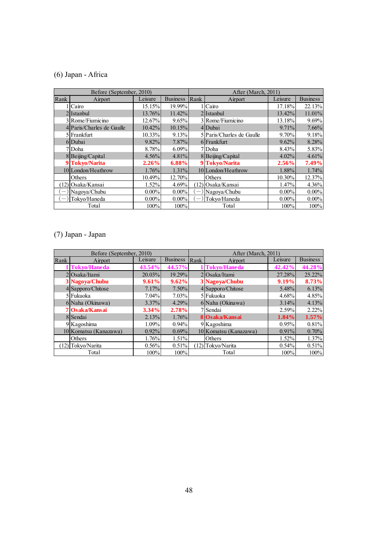# (6) Japan - Africa

| Before (September, 2010) |                           |          |                 |                          | After (March, 2011)       |           |                 |  |  |
|--------------------------|---------------------------|----------|-----------------|--------------------------|---------------------------|-----------|-----------------|--|--|
| Rank                     | <b>Airport</b>            | Leisure  | <b>Business</b> | Rank                     | Airport                   | Leisure   | <b>Business</b> |  |  |
|                          | Cairo                     | 15.15%   | 19.99%          |                          | 1 I Cairo                 | 17.18%    | 22.13%          |  |  |
|                          | 2 Istanbul                | 13.76%   | 11.42%          |                          | 2IIstanbul                | 13.42%    | 11.01%          |  |  |
|                          | 3 Rome/Fiumicino          | 12.67%   | 9.65%           |                          | 3 Rome/Fiumicino          | 13.18%    | 9.69%           |  |  |
|                          | 4 Paris/Charles de Gaulle | 10.42%   | 10.15%          |                          | 4Dubai                    | 9.71%     | 7.66%           |  |  |
|                          | 5 Frankfurt               | 10.33%   | 9.13%           |                          | 5 Paris/Charles de Gaulle | $9.70\%$  | 9.18%           |  |  |
|                          | 6 Dubai                   | $9.82\%$ | $7.87\%$        |                          | 6 Frankfurt               | $9.62\%$  | 8.28%           |  |  |
|                          | 7 Doha                    | 8.78%    | $6.09\%$        |                          | 7Doha                     | 8.43%     | 5.83%           |  |  |
|                          | 8 Beijing/Capital         | $4.56\%$ | $4.81\%$        |                          | 8Beijing/Capital          | 4.02%     | 4.61%           |  |  |
|                          | 9 Tokyo/Narita            | 2.26%    | 6.88%           |                          | 9 Tokyo/Narita            | $2.56\%$  | 7.49%           |  |  |
|                          | 10 London/Heathrow        | 1.76%    | $1.31\%$        |                          | 10 London/Heathrow        | 1.88%     | 1.74%           |  |  |
|                          | Others                    | 10.49%   | 12.70%          |                          | Others                    | $10.30\%$ | 12.37%          |  |  |
|                          | (12) Osaka/Kansai         | 1.52%    | 4.69%           |                          | $(12)$ Osaka/Kansai       | 1.47%     | 4.36%           |  |  |
|                          | Nagoya/Chubu              | $0.00\%$ | $0.00\%$        | $\overline{\phantom{m}}$ | Nagoya/Chubu              | $0.00\%$  | $0.00\%$        |  |  |
|                          | Tokyo/Haneda              | $0.00\%$ | $0.00\%$        |                          | Tokyo/Haneda              | $0.00\%$  | $0.00\%$        |  |  |
|                          | Total                     | 100%     | 100%            |                          | Total                     | 100%      | 100%            |  |  |

# (7) Japan - Japan

| Before (September, 2010) |                       |          |                 |      | After (March, 2011)   |          |                 |  |
|--------------------------|-----------------------|----------|-----------------|------|-----------------------|----------|-----------------|--|
| Rank                     | Airport               | Leisure  | <b>Business</b> | Rank | Airport               | Leisure  | <b>Business</b> |  |
|                          | <b>Tokyo/Haneda</b>   | 43.54%   | 44.57%          |      | Tokyo/Haneda          | 42.42%   | 44.28%          |  |
|                          | $2$ Osaka/Itami       | 20.03%   | 19.29%          |      | 2Osaka/Itami          | 27.28%   | 25.22%          |  |
|                          | 3 Nagoya/Chubu        | 9.61%    | 9.62%           |      | 3 Nagoya/Chubu        | 9.19%    | 8.73%           |  |
|                          | 4 Sapporo/Chitose     | 7.17%    | $7.50\%$        |      | 4 Sapporo/Chitose     | $5.48\%$ | 6.13%           |  |
|                          | 5 Fukuoka             | $7.04\%$ | $7.03\%$        |      | 5 Fukuoka             | $4.68\%$ | 4.85%           |  |
|                          | 6 Naha (Okinawa)      | $3.37\%$ | 4.29%           |      | 6 Naha (Okinawa)      | $3.14\%$ | 4.13%           |  |
|                          | 7 Osaka/Kansai        | 3.34%    | 2.78%           |      | 7 Sendai              | 2.59%    | $2.22\%$        |  |
|                          | 8 Sendai              | 2.13%    | 1.76%           |      | 8 Osaka/Kansai        | $1.84\%$ | $1.57\%$        |  |
|                          | 9 Kagoshima           | 1.09%    | $0.94\%$        |      | 9 Kagoshima           | 0.95%    | 0.81%           |  |
|                          | 10 Komatsu (Kanazawa) | $0.92\%$ | 0.69%           |      | 10 Komatsu (Kanazawa) | $0.91\%$ | 0.70%           |  |
|                          | Others                | 1.76%    | 1.51%           |      | Others                | $1.52\%$ | 1.37%           |  |
|                          | (12) Tokyo/Narita     | 0.56%    | 0.51%           |      | (12) Tokyo/Narita     | 0.54%    | 0.51%           |  |
|                          | Total                 | 100%     | 100%            |      | Total                 | 100%     | 100%            |  |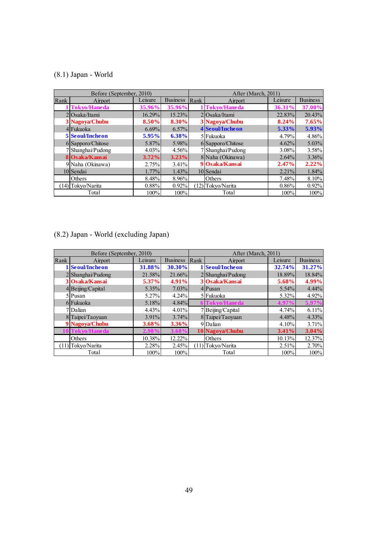# (8.1) Japan - World

| Before (September, 2010) |                        |          |                 |      | After (March, 2011) |          |                 |  |  |
|--------------------------|------------------------|----------|-----------------|------|---------------------|----------|-----------------|--|--|
| Rank                     | Airport                | Leisure  | <b>Business</b> | Rank | Airport             | Leisure  | <b>Business</b> |  |  |
|                          | <b>Tokyo/Haneda</b>    | 35.96%   | 35.96%          |      | Tokyo/Haneda        | 36.31%   | 37.00%          |  |  |
|                          | 20saka/Itami           | 16.29%   | 15.23%          |      | 2Osaka/Itami        | 22.83%   | 20.43%          |  |  |
|                          | 3 Nagoya/Chubu         | 8.50%    | $8.30\%$        |      | 3 Nagoya/Chubu      | 8.24%    | 7.65%           |  |  |
|                          | 4 Fukuoka              | 6.69%    | $6.57\%$        |      | 4 Seoul/Incheon     | $5.33\%$ | $5.93\%$        |  |  |
|                          | <b>5</b> Seoul/Incheon | 5.95%    | 6.38%           |      | 5 Fukuoka           | 4.79%    | 4.86%           |  |  |
|                          | 6 Sapporo/Chitose      | $5.87\%$ | 5.98%           |      | 6 Sapporo/Chitose   | 4.62%    | $5.03\%$        |  |  |
|                          | 7 Shanghai/Pudong      | $4.03\%$ | 4.56%           |      | 7 Shanghai/Pudong   | $3.08\%$ | 3.58%           |  |  |
|                          | 8 Osaka/Kansai         | 3.72%    | 3.23%           |      | 8 Naha (Okinawa)    | 2.64%    | 3.36%           |  |  |
|                          | 9 Naha (Okinawa)       | 2.75%    | 3.41%           |      | 9 Osaka/Kansai      | 2.47%    | 2.22%           |  |  |
|                          | 10 Sendai              | 1.77%    | 1.43%           |      | 10 Sendai           | $2.21\%$ | 1.84%           |  |  |
|                          | Others                 | 8.48%    | 8.96%           |      | Others              | 7.48%    | 8.10%           |  |  |
|                          | (14) Tokyo/Narita      | 0.88%    | 0.92%           |      | (12) Tokyo/Narita   | 0.86%    | 0.92%           |  |  |
|                          | Total                  | 100%     | 100%            |      | Total               | 100%     | 100%            |  |  |

# (8.2) Japan - World (excluding Japan)

| Before (September, 2010) |                     |          |                 |      | After (March, 2011) |          |                 |  |
|--------------------------|---------------------|----------|-----------------|------|---------------------|----------|-----------------|--|
| Rank                     | Airport             | Leisure  | <b>Business</b> | Rank | Airport             | Leisure  | <b>Business</b> |  |
|                          | 1 Seoul/Incheon     | 31.88%   | 30.30%          |      | 1 Seoul/Incheon     | 32.74%   | 31.27%          |  |
|                          | $2$ Shanghai/Pudong | 21.58%   | 21.66%          |      | 2 Shanghai/Pudong   | 18.89%   | 18.84%          |  |
|                          | 3 Osaka/Kansai      | $5.37\%$ | $4.91\%$        |      | 3 Osaka/Kansai      | 5.68%    | 4.99%           |  |
|                          | 4 Beijing/Capital   | $5.35\%$ | $7.03\%$        |      | $4$ Pusan           | $5.54\%$ | $4.44\%$        |  |
|                          | 5 Pusan             | $5.27\%$ | 4.24%           |      | 5 Fukuoka           | $5.32\%$ | 4.92%           |  |
|                          | 6 Fukuoka           | 5.18%    | 4.84%           |      | <b>Fokvo/Haneda</b> | 4.97     | 5.97%           |  |
|                          | 7 Dalian            | 4.43%    | 4.01%           |      | 7Beijing/Capital    | 4.74%    | 6.11%           |  |
|                          | 8 Taipei/Taoyuan    | $3.91\%$ | $3.74\%$        |      | 8 Taipei/Taoyuan    | $4.48\%$ | $4.33\%$        |  |
|                          | 9 Nagoya/Chubu      | 3.68%    | 3.36%           |      | 9Dalian             | 4.10%    | 3.71%           |  |
|                          | Tokyo/Haneda        | 2.98%    | 3.689           |      | 10 Nagoya/Chubu     | $3.41\%$ | 3.04%           |  |
|                          | Others              | 10.38%   | 12.22%          |      | Others              | 10.13%   | 12.37%          |  |
|                          | (11) Tokyo/Narita   | 2.28%    | 2.45%           |      | (11) Tokyo/Narita   | $2.51\%$ | 2.70%           |  |
|                          | Total               | 100%     | 100%            |      | Total               | 100%     | 100%            |  |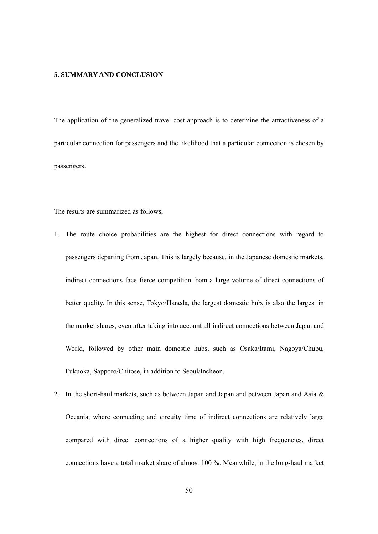#### **5. SUMMARY AND CONCLUSION**

The application of the generalized travel cost approach is to determine the attractiveness of a particular connection for passengers and the likelihood that a particular connection is chosen by passengers.

The results are summarized as follows;

- 1. The route choice probabilities are the highest for direct connections with regard to passengers departing from Japan. This is largely because, in the Japanese domestic markets, indirect connections face fierce competition from a large volume of direct connections of better quality. In this sense, Tokyo/Haneda, the largest domestic hub, is also the largest in the market shares, even after taking into account all indirect connections between Japan and World, followed by other main domestic hubs, such as Osaka/Itami, Nagoya/Chubu, Fukuoka, Sapporo/Chitose, in addition to Seoul/Incheon.
- 2. In the short-haul markets, such as between Japan and Japan and between Japan and Asia & Oceania, where connecting and circuity time of indirect connections are relatively large compared with direct connections of a higher quality with high frequencies, direct connections have a total market share of almost 100 %. Meanwhile, in the long-haul market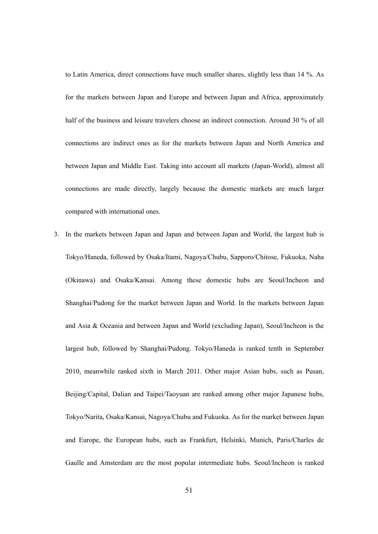to Latin America, direct connections have much smaller shares, slightly less than 14 %. As for the markets between Japan and Europe and between Japan and Africa, approximately half of the business and leisure travelers choose an indirect connection. Around 30 % of all connections are indirect ones as for the markets between Japan and North America and between Japan and Middle East. Taking into account all markets (Japan-World), almost all connections are made directly, largely because the domestic markets are much larger compared with international ones.

3. In the markets between Japan and Japan and between Japan and World, the largest hub is Tokyo/Haneda, followed by Osaka/Itami, Nagoya/Chubu, Sapporo/Chitose, Fukuoka, Naha (Okinawa) and Osaka/Kansai. Among these domestic hubs are Seoul/Incheon and Shanghai/Pudong for the market between Japan and World. In the markets between Japan and Asia & Oceania and between Japan and World (excluding Japan), Seoul/Incheon is the largest hub, followed by Shanghai/Pudong. Tokyo/Haneda is ranked tenth in September 2010, meanwhile ranked sixth in March 2011. Other major Asian hubs, such as Pusan, Beijing/Capital, Dalian and Taipei/Taoyuan are ranked among other major Japanese hubs, Tokyo/Narita, Osaka/Kansai, Nagoya/Chubu and Fukuoka. As for the market between Japan and Europe, the European hubs, such as Frankfurt, Helsinki, Munich, Paris/Charles de Gaulle and Amsterdam are the most popular intermediate hubs. Seoul/Incheon is ranked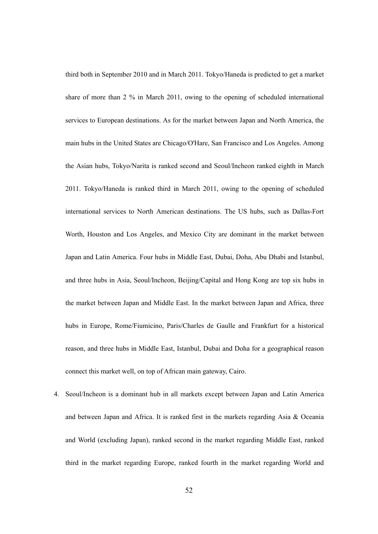third both in September 2010 and in March 2011. Tokyo/Haneda is predicted to get a market share of more than 2 % in March 2011, owing to the opening of scheduled international services to European destinations. As for the market between Japan and North America, the main hubs in the United States are Chicago/O'Hare, San Francisco and Los Angeles. Among the Asian hubs, Tokyo/Narita is ranked second and Seoul/Incheon ranked eighth in March 2011. Tokyo/Haneda is ranked third in March 2011, owing to the opening of scheduled international services to North American destinations. The US hubs, such as Dallas-Fort Worth, Houston and Los Angeles, and Mexico City are dominant in the market between Japan and Latin America. Four hubs in Middle East, Dubai, Doha, Abu Dhabi and Istanbul, and three hubs in Asia, Seoul/Incheon, Beijing/Capital and Hong Kong are top six hubs in the market between Japan and Middle East. In the market between Japan and Africa, three hubs in Europe, Rome/Fiumicino, Paris/Charles de Gaulle and Frankfurt for a historical reason, and three hubs in Middle East, Istanbul, Dubai and Doha for a geographical reason connect this market well, on top of African main gateway, Cairo.

4. Seoul/Incheon is a dominant hub in all markets except between Japan and Latin America and between Japan and Africa. It is ranked first in the markets regarding Asia & Oceania and World (excluding Japan), ranked second in the market regarding Middle East, ranked third in the market regarding Europe, ranked fourth in the market regarding World and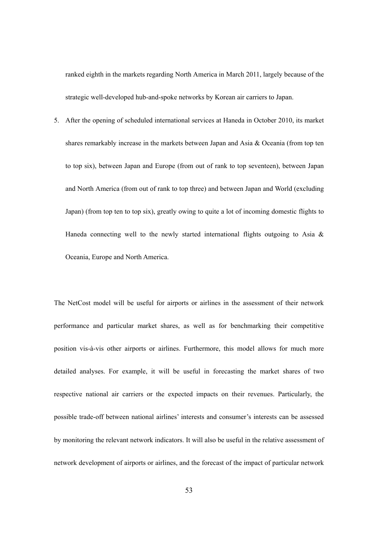ranked eighth in the markets regarding North America in March 2011, largely because of the strategic well-developed hub-and-spoke networks by Korean air carriers to Japan.

5. After the opening of scheduled international services at Haneda in October 2010, its market shares remarkably increase in the markets between Japan and Asia & Oceania (from top ten to top six), between Japan and Europe (from out of rank to top seventeen), between Japan and North America (from out of rank to top three) and between Japan and World (excluding Japan) (from top ten to top six), greatly owing to quite a lot of incoming domestic flights to Haneda connecting well to the newly started international flights outgoing to Asia  $\&$ Oceania, Europe and North America.

The NetCost model will be useful for airports or airlines in the assessment of their network performance and particular market shares, as well as for benchmarking their competitive position vis-à-vis other airports or airlines. Furthermore, this model allows for much more detailed analyses. For example, it will be useful in forecasting the market shares of two respective national air carriers or the expected impacts on their revenues. Particularly, the possible trade-off between national airlines' interests and consumer's interests can be assessed by monitoring the relevant network indicators. It will also be useful in the relative assessment of network development of airports or airlines, and the forecast of the impact of particular network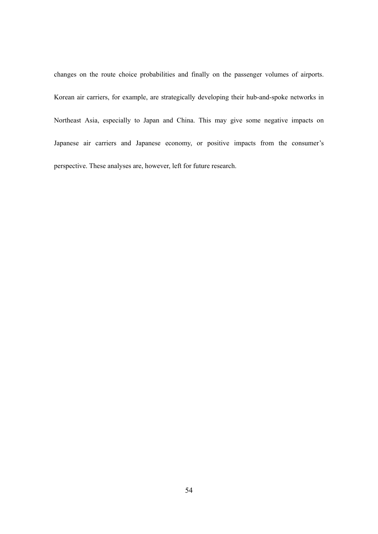changes on the route choice probabilities and finally on the passenger volumes of airports. Korean air carriers, for example, are strategically developing their hub-and-spoke networks in Northeast Asia, especially to Japan and China. This may give some negative impacts on Japanese air carriers and Japanese economy, or positive impacts from the consumer's perspective. These analyses are, however, left for future research.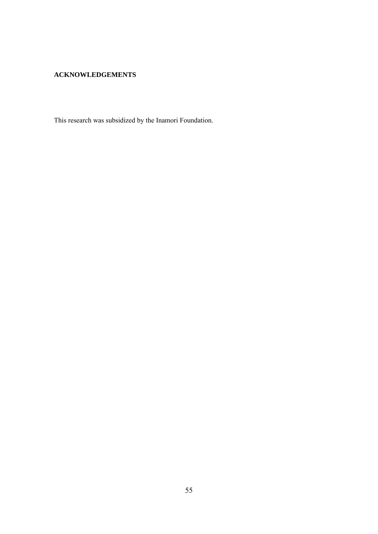#### **ACKNOWLEDGEMENTS**

This research was subsidized by the Inamori Foundation.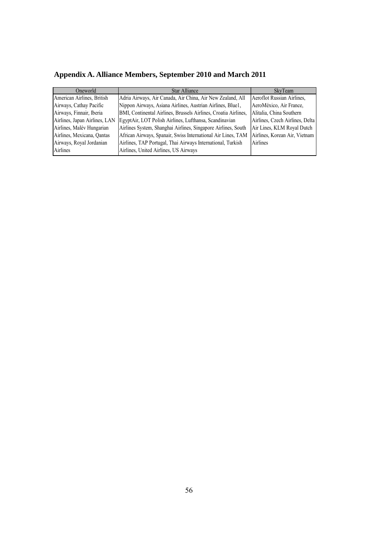| Oneworld                      | <b>Star Alliance</b>                                            | <b>SkyTeam</b>                  |
|-------------------------------|-----------------------------------------------------------------|---------------------------------|
| American Airlines, British    | Adria Airways, Air Canada, Air China, Air New Zealand, All      | Aeroflot Russian Airlines.      |
| Airways, Cathay Pacific       | Nippon Airways, Asiana Airlines, Austrian Airlines, Blue1,      | AeroMéxico, Air France,         |
| Airways, Finnair, Iberia      | BMI, Continental Airlines, Brussels Airlines, Croatia Airlines, | Alitalia, China Southern        |
| Airlines, Japan Airlines, LAN | EgyptAir, LOT Polish Airlines, Lufthansa, Scandinavian          | Airlines, Czech Airlines, Delta |
| Airlines, Malév Hungarian     | Airlines System, Shanghai Airlines, Singapore Airlines, South   | Air Lines, KLM Royal Dutch      |
| Airlines, Mexicana, Qantas    | African Airways, Spanair, Swiss International Air Lines, TAM    | Airlines, Korean Air, Vietnam   |
| Airways, Royal Jordanian      | Airlines, TAP Portugal, Thai Airways International, Turkish     | Airlines                        |
| Airlines                      | Airlines, United Airlines, US Airways                           |                                 |

# **Appendix A. Alliance Members, September 2010 and March 2011**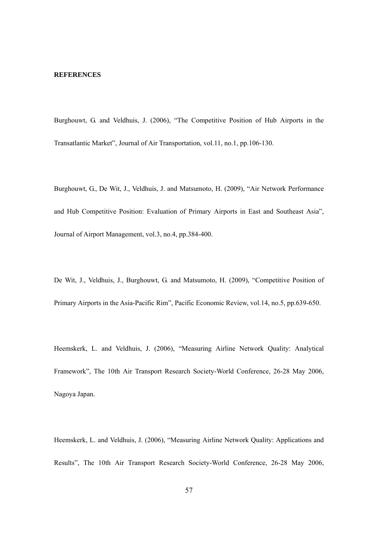#### **REFERENCES**

Burghouwt, G. and Veldhuis, J. (2006), "The Competitive Position of Hub Airports in the Transatlantic Market", Journal of Air Transportation, vol.11, no.1, pp.106-130.

Burghouwt, G., De Wit, J., Veldhuis, J. and Matsumoto, H. (2009), "Air Network Performance and Hub Competitive Position: Evaluation of Primary Airports in East and Southeast Asia", Journal of Airport Management, vol.3, no.4, pp.384-400.

De Wit, J., Veldhuis, J., Burghouwt, G. and Matsumoto, H. (2009), "Competitive Position of Primary Airports in the Asia-Pacific Rim", Pacific Economic Review, vol.14, no.5, pp.639-650.

Heemskerk, L. and Veldhuis, J. (2006), "Measuring Airline Network Quality: Analytical Framework", The 10th Air Transport Research Society-World Conference, 26-28 May 2006, Nagoya Japan.

Heemskerk, L. and Veldhuis, J. (2006), "Measuring Airline Network Quality: Applications and Results", The 10th Air Transport Research Society-World Conference, 26-28 May 2006,